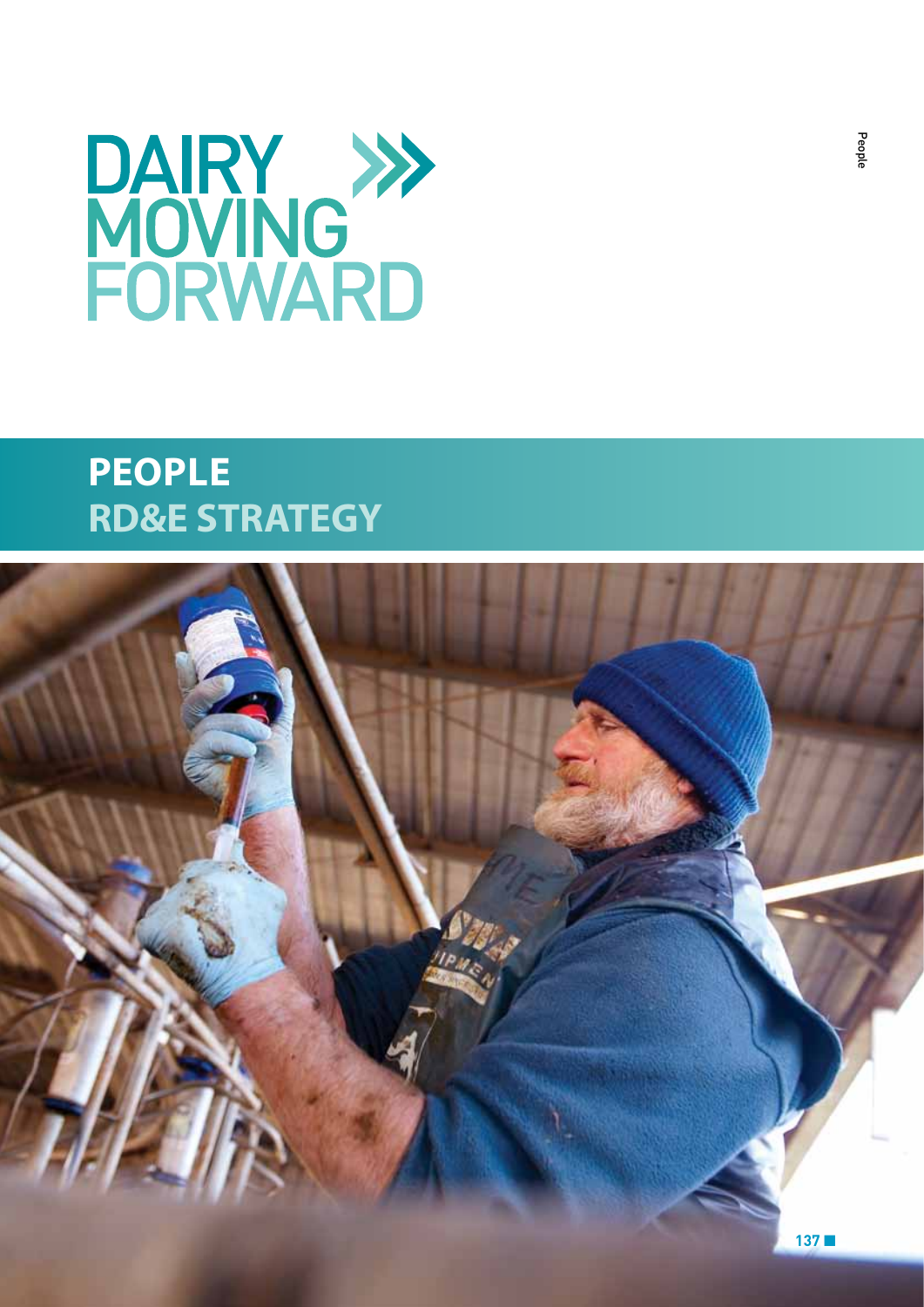

# **People RD&E STRATEGY**

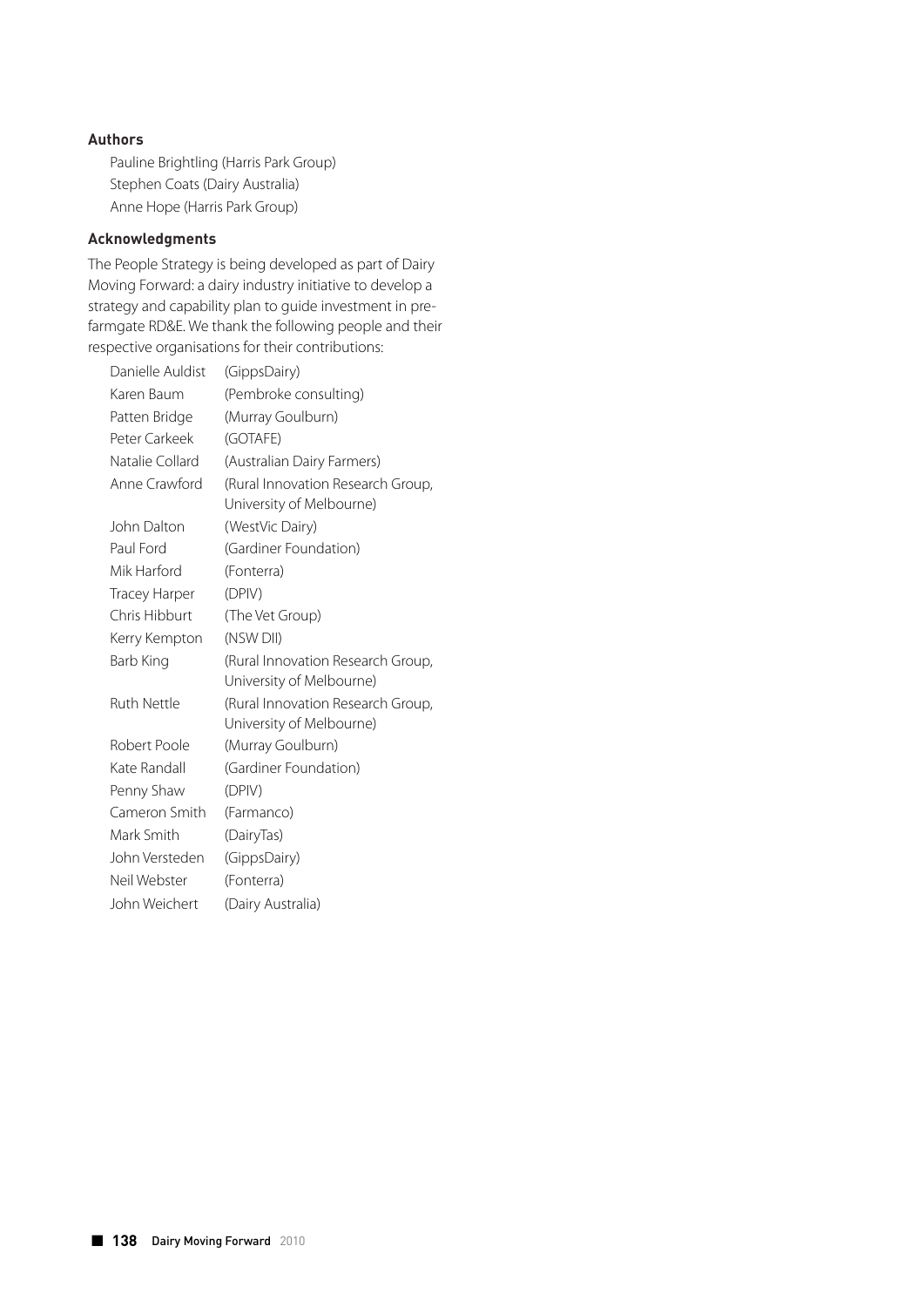# **Authors**

Pauline Brightling (Harris Park Group) Stephen Coats (Dairy Australia) Anne Hope (Harris Park Group)

# **Acknowledgments**

The People Strategy is being developed as part of Dairy Moving Forward: a dairy industry initiative to develop a strategy and capability plan to guide investment in prefarmgate RD&E. We thank the following people and their respective organisations for their contributions:

| Danielle Auldist     | (GippsDairy)                      |
|----------------------|-----------------------------------|
| Karen Baum           | (Pembroke consulting)             |
| Patten Bridge        | (Murray Goulburn)                 |
| Peter Carkeek        | (GOTAFE)                          |
| Natalie Collard      | (Australian Dairy Farmers)        |
| Anne Crawford        | (Rural Innovation Research Group, |
|                      | University of Melbourne)          |
| John Dalton          | (WestVic Dairy)                   |
| Paul Ford            | (Gardiner Foundation)             |
| Mik Harford          | (Fonterra)                        |
| <b>Tracey Harper</b> | (DPIV)                            |
| Chris Hibburt        | (The Vet Group)                   |
| Kerry Kempton        | (NSW DII)                         |
| Barb King            | (Rural Innovation Research Group, |
|                      | University of Melbourne)          |
| <b>Ruth Nettle</b>   | (Rural Innovation Research Group, |
|                      | University of Melbourne)          |
| Robert Poole         | (Murray Goulburn)                 |
| Kate Randall         | (Gardiner Foundation)             |
| Penny Shaw           | (DPIV)                            |
| Cameron Smith        | (Farmanco)                        |
| Mark Smith           | (DairyTas)                        |
| John Versteden       | (GippsDairy)                      |
| Neil Webster         | (Fonterra)                        |
| John Weichert        | (Dairy Australia)                 |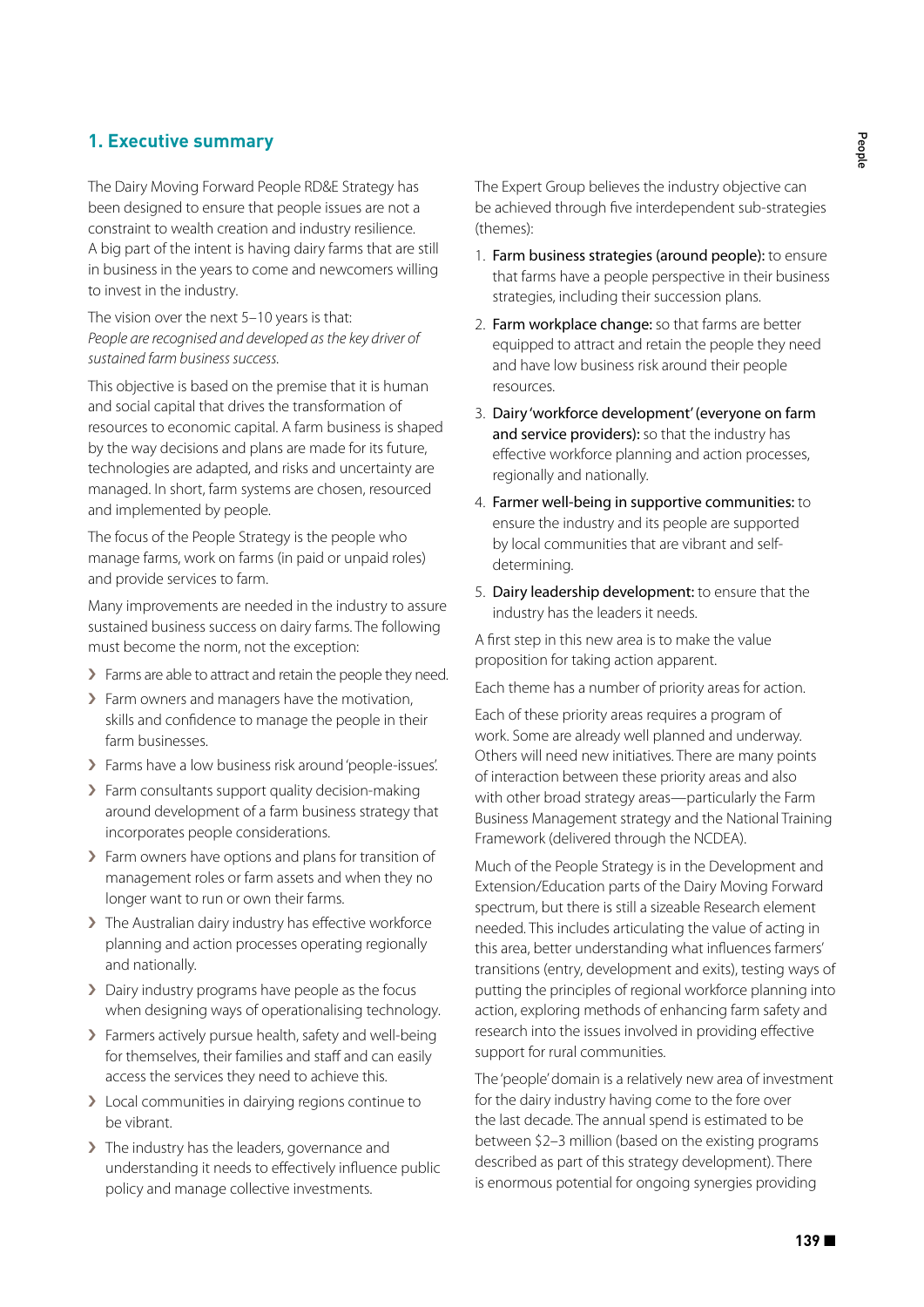# **1. Executive summary**

The Dairy Moving Forward People RD&E Strategy has been designed to ensure that people issues are not a constraint to wealth creation and industry resilience. A big part of the intent is having dairy farms that are still in business in the years to come and newcomers willing to invest in the industry.

The vision over the next 5–10 years is that: *People are recognised and developed as the key driver of sustained farm business success.*

This objective is based on the premise that it is human and social capital that drives the transformation of resources to economic capital. A farm business is shaped by the way decisions and plans are made for its future, technologies are adapted, and risks and uncertainty are managed. In short, farm systems are chosen, resourced and implemented by people.

The focus of the People Strategy is the people who manage farms, work on farms (in paid or unpaid roles) and provide services to farm.

Many improvements are needed in the industry to assure sustained business success on dairy farms. The following must become the norm, not the exception:

- > Farms are able to attract and retain the people they need.
- › Farm owners and managers have the motivation, skills and confidence to manage the people in their farm businesses.
- › Farms have a low business risk around 'people-issues'.
- › Farm consultants support quality decision-making around development of a farm business strategy that incorporates people considerations.
- > Farm owners have options and plans for transition of management roles or farm assets and when they no longer want to run or own their farms.
- › The Australian dairy industry has effective workforce planning and action processes operating regionally and nationally.
- › Dairy industry programs have people as the focus when designing ways of operationalising technology.
- › Farmers actively pursue health, safety and well-being for themselves, their families and staff and can easily access the services they need to achieve this.
- › Local communities in dairying regions continue to be vibrant.
- › The industry has the leaders, governance and understanding it needs to effectively influence public policy and manage collective investments.

The Expert Group believes the industry objective can be achieved through five interdependent sub-strategies (themes):

- 1. Farm business strategies (around people): to ensure that farms have a people perspective in their business strategies, including their succession plans.
- 2. Farm workplace change: so that farms are better equipped to attract and retain the people they need and have low business risk around their people resources.
- 3. Dairy 'workforce development' (everyone on farm and service providers): so that the industry has effective workforce planning and action processes, regionally and nationally.
- 4. Farmer well-being in supportive communities: to ensure the industry and its people are supported by local communities that are vibrant and selfdetermining.
- 5. Dairy leadership development: to ensure that the industry has the leaders it needs.

A first step in this new area is to make the value proposition for taking action apparent.

Each theme has a number of priority areas for action.

Each of these priority areas requires a program of work. Some are already well planned and underway. Others will need new initiatives. There are many points of interaction between these priority areas and also with other broad strategy areas—particularly the Farm Business Management strategy and the National Training Framework (delivered through the NCDEA).

Much of the People Strategy is in the Development and Extension/Education parts of the Dairy Moving Forward spectrum, but there is still a sizeable Research element needed. This includes articulating the value of acting in this area, better understanding what influences farmers' transitions (entry, development and exits), testing ways of putting the principles of regional workforce planning into action, exploring methods of enhancing farm safety and research into the issues involved in providing effective support for rural communities.

The 'people' domain is a relatively new area of investment for the dairy industry having come to the fore over the last decade. The annual spend is estimated to be between \$2–3 million (based on the existing programs described as part of this strategy development). There is enormous potential for ongoing synergies providing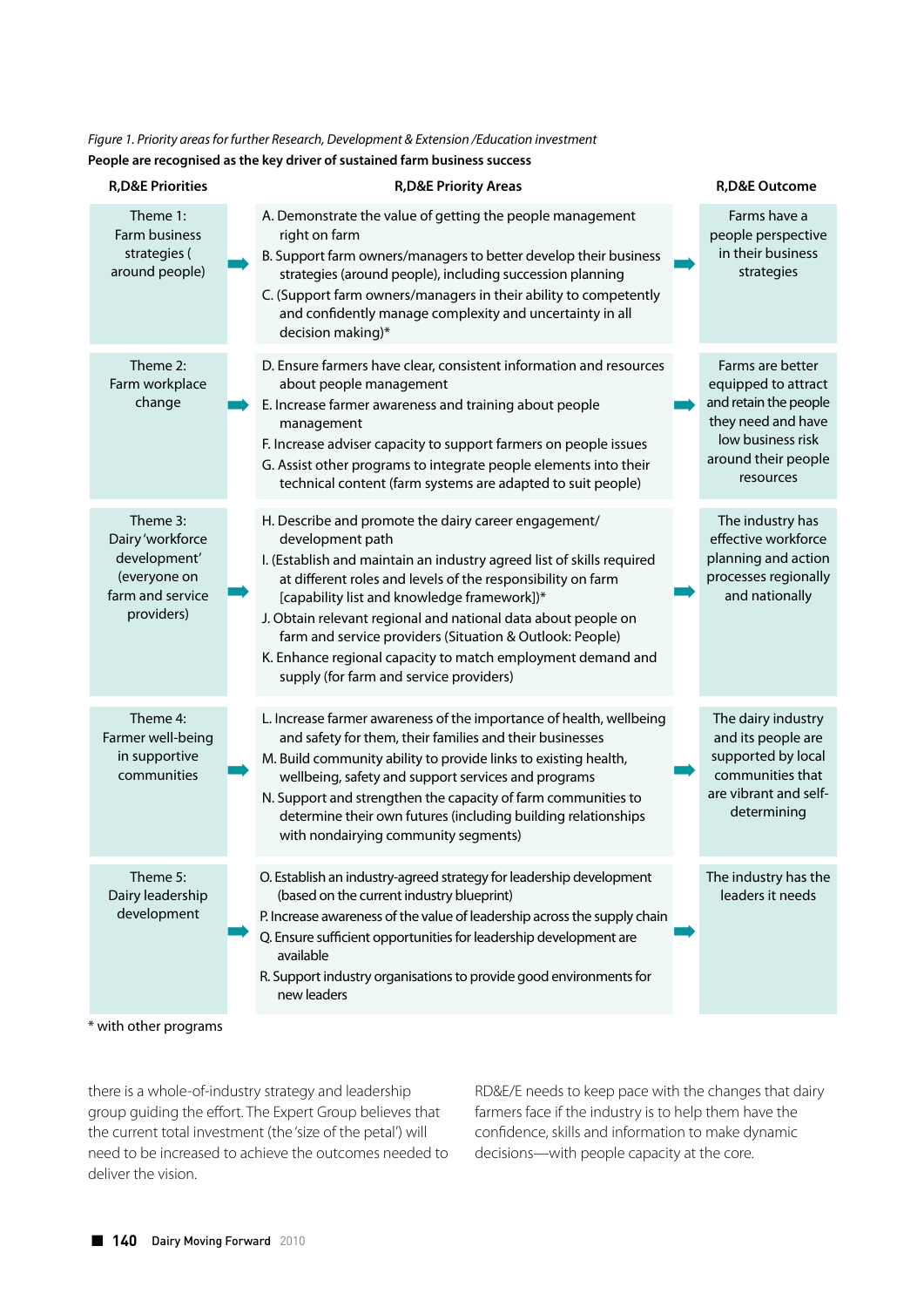# *Figure 1. Priority areas for further Research, Development & Extension /Education investment* **People are recognised as the key driver of sustained farm business success**

| <b>R,D&amp;E Priorities</b>                                                                    | <b>R,D&amp;E Priority Areas</b>                                                                                                                                                                                                                                                                                                                                                                                                                                                                        | <b>R,D&amp;E Outcome</b>                                                                                                                        |
|------------------------------------------------------------------------------------------------|--------------------------------------------------------------------------------------------------------------------------------------------------------------------------------------------------------------------------------------------------------------------------------------------------------------------------------------------------------------------------------------------------------------------------------------------------------------------------------------------------------|-------------------------------------------------------------------------------------------------------------------------------------------------|
| Theme 1:<br>Farm business<br>strategies (<br>around people)                                    | A. Demonstrate the value of getting the people management<br>right on farm<br>B. Support farm owners/managers to better develop their business<br>strategies (around people), including succession planning<br>C. (Support farm owners/managers in their ability to competently<br>and confidently manage complexity and uncertainty in all<br>decision making)*                                                                                                                                       | Farms have a<br>people perspective<br>in their business<br>strategies                                                                           |
| Theme 2:<br>Farm workplace<br>change                                                           | D. Ensure farmers have clear, consistent information and resources<br>about people management<br>E. Increase farmer awareness and training about people<br>management<br>F. Increase adviser capacity to support farmers on people issues<br>G. Assist other programs to integrate people elements into their<br>technical content (farm systems are adapted to suit people)                                                                                                                           | Farms are better<br>equipped to attract<br>and retain the people<br>they need and have<br>low business risk<br>around their people<br>resources |
| Theme 3:<br>Dairy 'workforce<br>development'<br>(everyone on<br>farm and service<br>providers) | H. Describe and promote the dairy career engagement/<br>development path<br>I. (Establish and maintain an industry agreed list of skills required<br>at different roles and levels of the responsibility on farm<br>[capability list and knowledge framework])*<br>J. Obtain relevant regional and national data about people on<br>farm and service providers (Situation & Outlook: People)<br>K. Enhance regional capacity to match employment demand and<br>supply (for farm and service providers) | The industry has<br>effective workforce<br>planning and action<br>processes regionally<br>and nationally                                        |
| Theme 4:<br>Farmer well-being<br>in supportive<br>communities                                  | L. Increase farmer awareness of the importance of health, wellbeing<br>and safety for them, their families and their businesses<br>M. Build community ability to provide links to existing health,<br>wellbeing, safety and support services and programs<br>N. Support and strengthen the capacity of farm communities to<br>determine their own futures (including building relationships<br>with nondairying community segments)                                                                    | The dairy industry<br>and its people are<br>supported by local<br>communities that<br>are vibrant and self-<br>determining                      |
| Theme 5:<br>Dairy leadership<br>development                                                    | O. Establish an industry-agreed strategy for leadership development<br>(based on the current industry blueprint)<br>P. Increase awareness of the value of leadership across the supply chain<br>Q. Ensure sufficient opportunities for leadership development are<br>available<br>R. Support industry organisations to provide good environments for<br>new leaders                                                                                                                                    | The industry has the<br>leaders it needs                                                                                                        |
| * with other programs                                                                          |                                                                                                                                                                                                                                                                                                                                                                                                                                                                                                        |                                                                                                                                                 |

there is a whole-of-industry strategy and leadership group guiding the effort. The Expert Group believes that the current total investment (the 'size of the petal') will need to be increased to achieve the outcomes needed to deliver the vision.

RD&E/E needs to keep pace with the changes that dairy farmers face if the industry is to help them have the confidence, skills and information to make dynamic decisions—with people capacity at the core.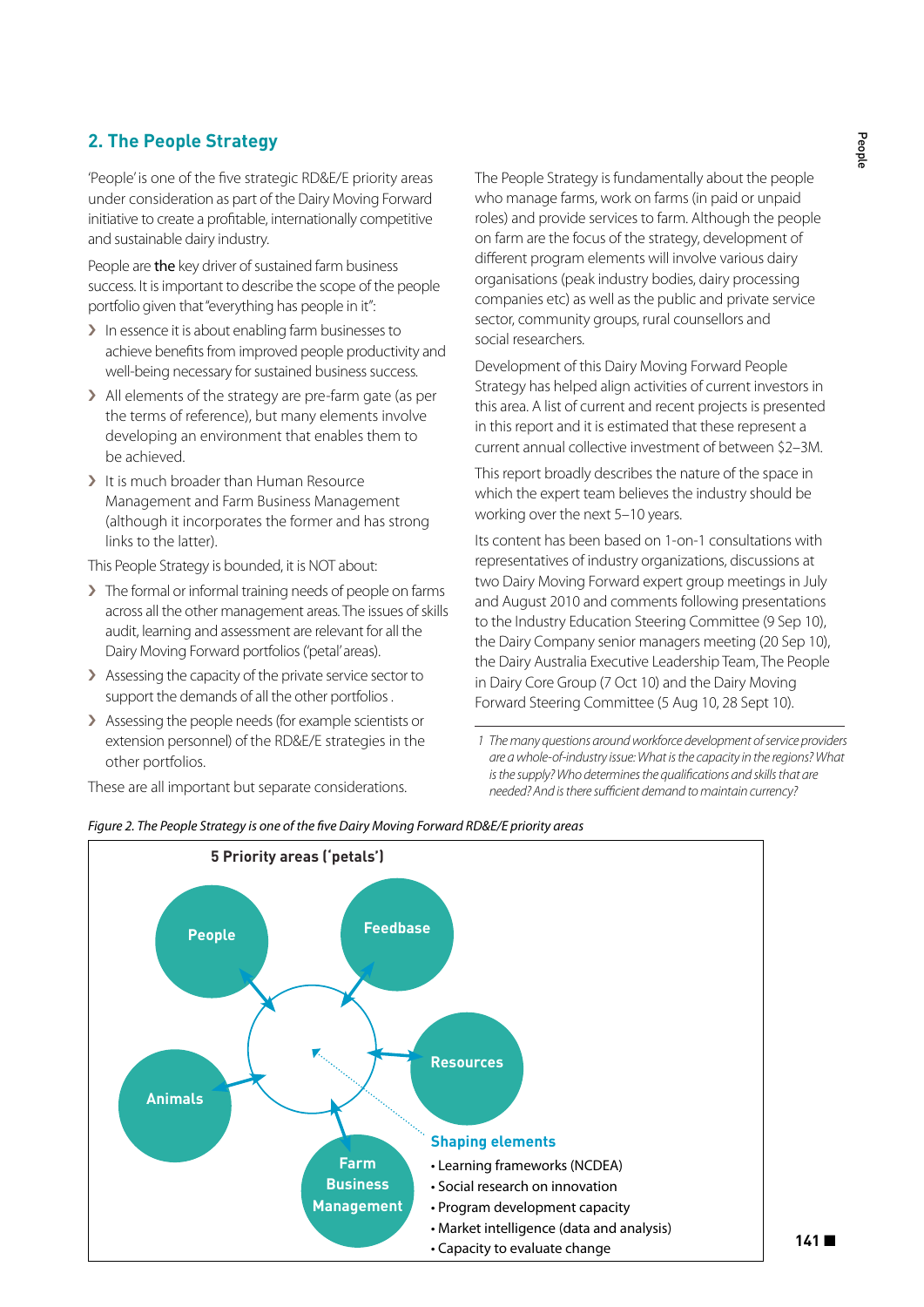# **2. The People Strategy**

'People' is one of the five strategic RD&E/E priority areas under consideration as part of the Dairy Moving Forward initiative to create a profitable, internationally competitive and sustainable dairy industry.

People are the key driver of sustained farm business success. It is important to describe the scope of the people portfolio given that "everything has people in it":

- > In essence it is about enabling farm businesses to achieve benefits from improved people productivity and well-being necessary for sustained business success.
- › All elements of the strategy are pre-farm gate (as per the terms of reference), but many elements involve developing an environment that enables them to be achieved.
- > It is much broader than Human Resource Management and Farm Business Management (although it incorporates the former and has strong links to the latter).

This People Strategy is bounded, it is NOT about:

- › The formal or informal training needs of people on farms across all the other management areas. The issues of skills audit, learning and assessment are relevant for all the Dairy Moving Forward portfolios ('petal' areas).
- › Assessing the capacity of the private service sector to support the demands of all the other portfolios .
- > Assessing the people needs (for example scientists or extension personnel) of the RD&E/E strategies in the other portfolios.

These are all important but separate considerations.

The People Strategy is fundamentally about the people who manage farms, work on farms (in paid or unpaid roles) and provide services to farm. Although the people on farm are the focus of the strategy, development of different program elements will involve various dairy organisations (peak industry bodies, dairy processing companies etc) as well as the public and private service sector, community groups, rural counsellors and social researchers.

Development of this Dairy Moving Forward People Strategy has helped align activities of current investors in this area. A list of current and recent projects is presented in this report and it is estimated that these represent a current annual collective investment of between \$2–3M.

This report broadly describes the nature of the space in which the expert team believes the industry should be working over the next 5–10 years.

Its content has been based on 1-on-1 consultations with representatives of industry organizations, discussions at two Dairy Moving Forward expert group meetings in July and August 2010 and comments following presentations to the Industry Education Steering Committee (9 Sep 10), the Dairy Company senior managers meeting (20 Sep 10), the Dairy Australia Executive Leadership Team, The People in Dairy Core Group (7 Oct 10) and the Dairy Moving Forward Steering Committee (5 Aug 10, 28 Sept 10).

**141** ■



*Figure 2. The People Strategy is one of the five Dairy Moving Forward RD&E/E priority areas*

 *<sup>1</sup> The many questions around workforce development of service providers are a whole-of-industry issue: What is the capacity in the regions? What is the supply? Who determines the qualifications and skills that are needed? And is there sufficient demand to maintain currency?*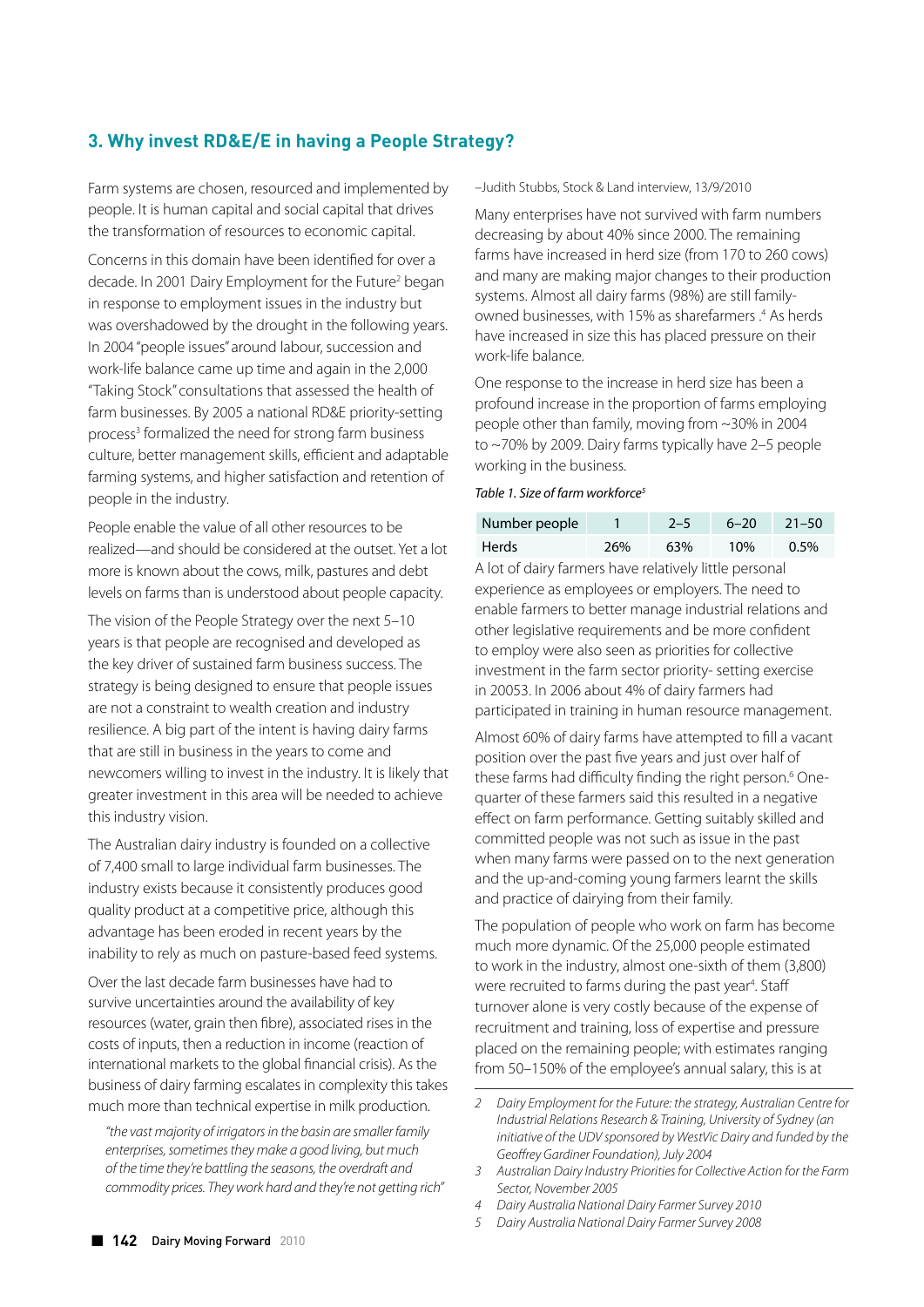# **3. Why invest RD&E/E in having a People Strategy?**

Farm systems are chosen, resourced and implemented by people. It is human capital and social capital that drives the transformation of resources to economic capital.

Concerns in this domain have been identified for over a decade. In 2001 Dairy Employment for the Future<sup>2</sup> began in response to employment issues in the industry but was overshadowed by the drought in the following years. In 2004 "people issues" around labour, succession and work-life balance came up time and again in the 2,000 "Taking Stock" consultations that assessed the health of farm businesses. By 2005 a national RD&E priority-setting process<sup>3</sup> formalized the need for strong farm business culture, better management skills, efficient and adaptable farming systems, and higher satisfaction and retention of people in the industry.

People enable the value of all other resources to be realized—and should be considered at the outset. Yet a lot more is known about the cows, milk, pastures and debt levels on farms than is understood about people capacity.

The vision of the People Strategy over the next 5–10 years is that people are recognised and developed as the key driver of sustained farm business success. The strategy is being designed to ensure that people issues are not a constraint to wealth creation and industry resilience. A big part of the intent is having dairy farms that are still in business in the years to come and newcomers willing to invest in the industry. It is likely that greater investment in this area will be needed to achieve this industry vision.

The Australian dairy industry is founded on a collective of 7,400 small to large individual farm businesses. The industry exists because it consistently produces good quality product at a competitive price, although this advantage has been eroded in recent years by the inability to rely as much on pasture-based feed systems.

Over the last decade farm businesses have had to survive uncertainties around the availability of key resources (water, grain then fibre), associated rises in the costs of inputs, then a reduction in income (reaction of international markets to the global financial crisis). As the business of dairy farming escalates in complexity this takes much more than technical expertise in milk production.

*"the vast majority of irrigators in the basin are smaller family enterprises, sometimes they make a good living, but much of the time they're battling the seasons, the overdraft and commodity prices. They work hard and they're not getting rich"*  –Judith Stubbs, Stock & Land interview, 13/9/2010

Many enterprises have not survived with farm numbers decreasing by about 40% since 2000. The remaining farms have increased in herd size (from 170 to 260 cows) and many are making major changes to their production systems. Almost all dairy farms (98%) are still familyowned businesses, with 15% as sharefarmers .4 As herds have increased in size this has placed pressure on their work-life balance.

One response to the increase in herd size has been a profound increase in the proportion of farms employing people other than family, moving from ~30% in 2004 to ~70% by 2009. Dairy farms typically have 2–5 people working in the business.

#### *Table 1. Size of farm workforce5*

| Number people |     | $2 - 5$ | $6 - 20$ | $21 - 50$ |
|---------------|-----|---------|----------|-----------|
| Herds         | 26% | 63%     | 10%      | $0.5\%$   |

A lot of dairy farmers have relatively little personal experience as employees or employers. The need to enable farmers to better manage industrial relations and other legislative requirements and be more confident to employ were also seen as priorities for collective investment in the farm sector priority- setting exercise in 20053. In 2006 about 4% of dairy farmers had participated in training in human resource management.

Almost 60% of dairy farms have attempted to fill a vacant position over the past five years and just over half of these farms had difficulty finding the right person.<sup>6</sup> Onequarter of these farmers said this resulted in a negative effect on farm performance. Getting suitably skilled and committed people was not such as issue in the past when many farms were passed on to the next generation and the up-and-coming young farmers learnt the skills and practice of dairying from their family.

The population of people who work on farm has become much more dynamic. Of the 25,000 people estimated to work in the industry, almost one-sixth of them (3,800) were recruited to farms during the past year<sup>4</sup>. Staff turnover alone is very costly because of the expense of recruitment and training, loss of expertise and pressure placed on the remaining people; with estimates ranging from 50–150% of the employee's annual salary, this is at

*<sup>2</sup> Dairy Employment for the Future: the strategy, Australian Centre for Industrial Relations Research & Training, University of Sydney (an initiative of the UDV sponsored by WestVic Dairy and funded by the Geoffrey Gardiner Foundation), July 2004*

*<sup>3</sup> Australian Dairy Industry Priorities for Collective Action for the Farm Sector, November 2005*

*<sup>4</sup> Dairy Australia National Dairy Farmer Survey 2010*

*<sup>5</sup> Dairy Australia National Dairy Farmer Survey 2008*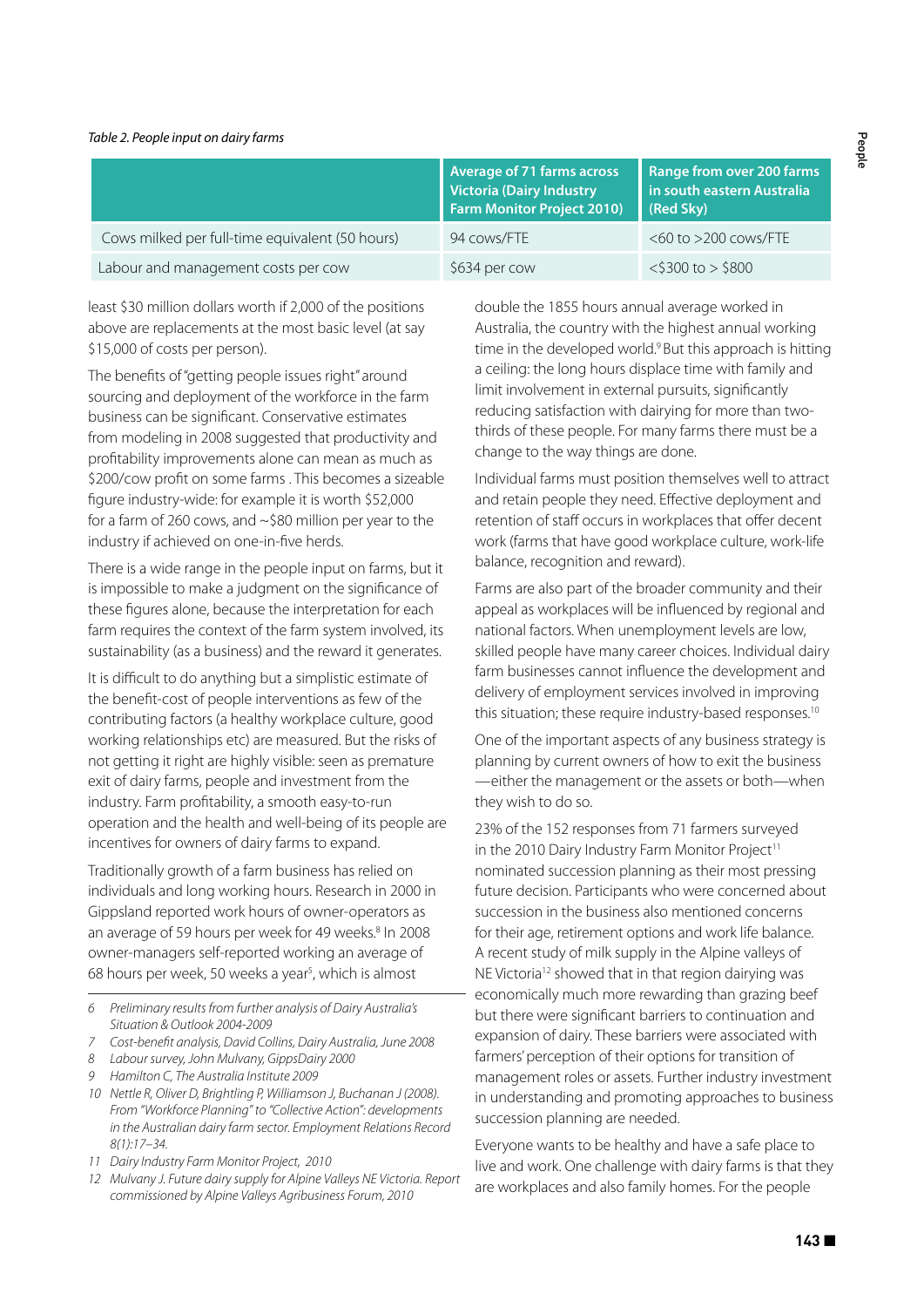#### *Table 2. People input on dairy farms*

|                                                 | <b>Average of 71 farms across</b><br><b>Victoria (Dairy Industry</b><br><b>Farm Monitor Project 2010)</b> | Range from over 200 farms<br>in south eastern Australia<br>(Red Sky) |
|-------------------------------------------------|-----------------------------------------------------------------------------------------------------------|----------------------------------------------------------------------|
| Cows milked per full-time equivalent (50 hours) | 94 cows/FTE                                                                                               | $<$ 60 to $>$ 200 cows/FTE                                           |
| Labour and management costs per cow             | \$634 per cow                                                                                             | $<$ \$300 to > \$800                                                 |

least \$30 million dollars worth if 2,000 of the positions above are replacements at the most basic level (at say \$15,000 of costs per person).

The benefits of "getting people issues right" around sourcing and deployment of the workforce in the farm business can be significant. Conservative estimates from modeling in 2008 suggested that productivity and profitability improvements alone can mean as much as \$200/cow profit on some farms . This becomes a sizeable figure industry-wide: for example it is worth \$52,000 for a farm of 260 cows, and ~\$80 million per year to the industry if achieved on one-in-five herds.

There is a wide range in the people input on farms, but it is impossible to make a judgment on the significance of these figures alone, because the interpretation for each farm requires the context of the farm system involved, its sustainability (as a business) and the reward it generates.

It is difficult to do anything but a simplistic estimate of the benefit-cost of people interventions as few of the contributing factors (a healthy workplace culture, good working relationships etc) are measured. But the risks of not getting it right are highly visible: seen as premature exit of dairy farms, people and investment from the industry. Farm profitability, a smooth easy-to-run operation and the health and well-being of its people are incentives for owners of dairy farms to expand.

Traditionally growth of a farm business has relied on individuals and long working hours. Research in 2000 in Gippsland reported work hours of owner-operators as an average of 59 hours per week for 49 weeks.<sup>8</sup> In 2008 owner-managers self-reported working an average of 68 hours per week, 50 weeks a year<sup>s</sup>, which is almost

- *6 Preliminary results from further analysis of Dairy Australia's Situation & Outlook 2004-2009*
- *7 Cost-benefit analysis, David Collins, Dairy Australia, June 2008*
- *8 Labour survey, John Mulvany, GippsDairy 2000*
- *9 Hamilton C, The Australia Institute 2009*
- *10 Nettle R, Oliver D, Brightling P, Williamson J, Buchanan J (2008). From "Workforce Planning" to "Collective Action": developments in the Australian dairy farm sector. Employment Relations Record 8(1):17–34.*
- *11 Dairy Industry Farm Monitor Project, 2010*
- *12 Mulvany J. Future dairy supply for Alpine Valleys NE Victoria. Report commissioned by Alpine Valleys Agribusiness Forum, 2010*

double the 1855 hours annual average worked in Australia, the country with the highest annual working time in the developed world.<sup>9</sup> But this approach is hitting a ceiling: the long hours displace time with family and limit involvement in external pursuits, significantly reducing satisfaction with dairying for more than twothirds of these people. For many farms there must be a change to the way things are done.

Individual farms must position themselves well to attract and retain people they need. Effective deployment and retention of staff occurs in workplaces that offer decent work (farms that have good workplace culture, work-life balance, recognition and reward).

Farms are also part of the broader community and their appeal as workplaces will be influenced by regional and national factors. When unemployment levels are low, skilled people have many career choices. Individual dairy farm businesses cannot influence the development and delivery of employment services involved in improving this situation; these require industry-based responses.<sup>10</sup>

One of the important aspects of any business strategy is planning by current owners of how to exit the business —either the management or the assets or both—when they wish to do so.

23% of the 152 responses from 71 farmers surveyed in the 2010 Dairy Industry Farm Monitor Project<sup>11</sup> nominated succession planning as their most pressing future decision. Participants who were concerned about succession in the business also mentioned concerns for their age, retirement options and work life balance. A recent study of milk supply in the Alpine valleys of NE Victoria<sup>12</sup> showed that in that region dairying was economically much more rewarding than grazing beef but there were significant barriers to continuation and expansion of dairy. These barriers were associated with farmers' perception of their options for transition of management roles or assets. Further industry investment in understanding and promoting approaches to business succession planning are needed.

Everyone wants to be healthy and have a safe place to live and work. One challenge with dairy farms is that they are workplaces and also family homes. For the people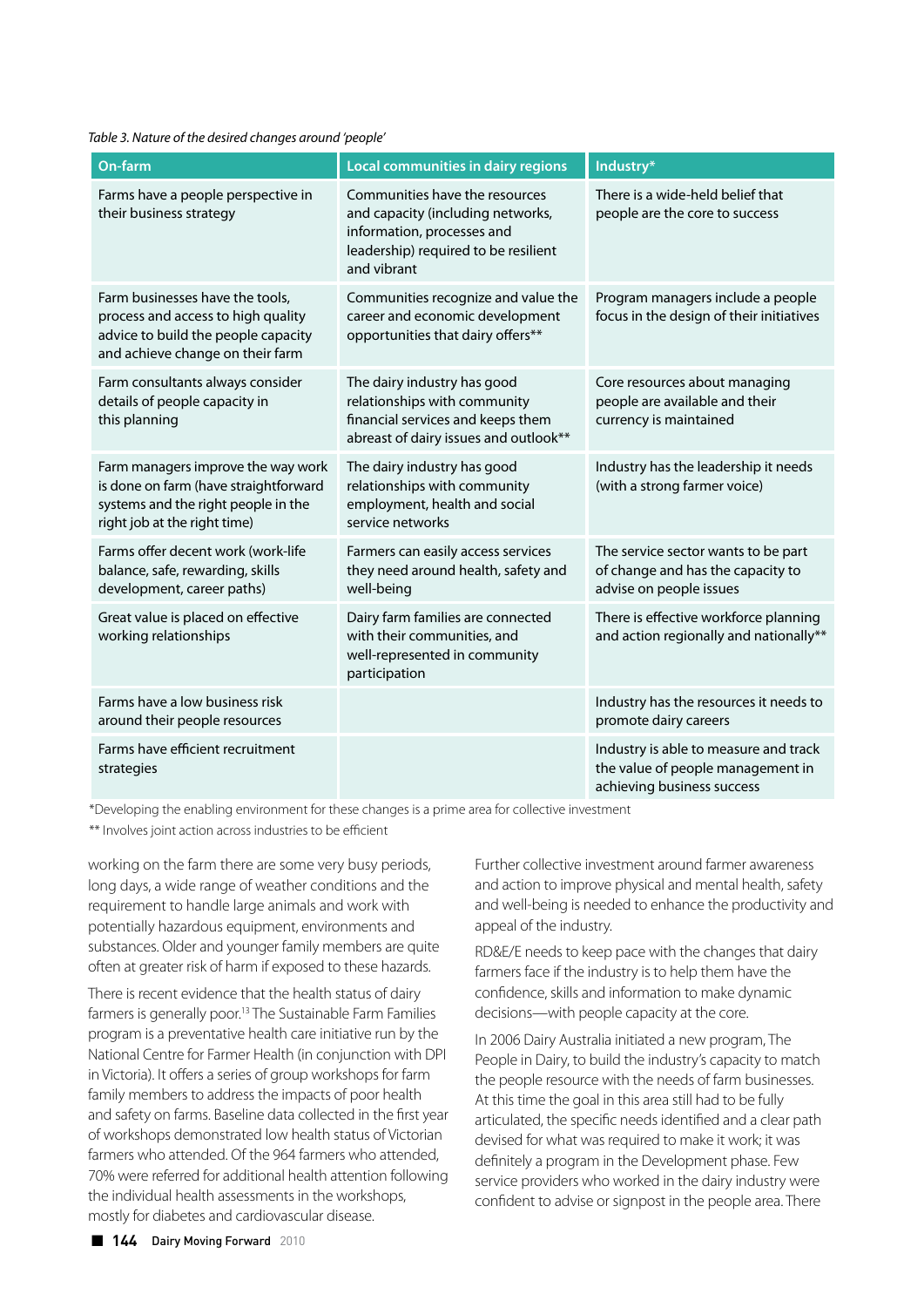*Table 3. Nature of the desired changes around 'people'*

| On-farm                                                                                                                                            | Local communities in dairy regions                                                                                                                       | Industry*                                                                                                |
|----------------------------------------------------------------------------------------------------------------------------------------------------|----------------------------------------------------------------------------------------------------------------------------------------------------------|----------------------------------------------------------------------------------------------------------|
| Farms have a people perspective in<br>their business strategy                                                                                      | Communities have the resources<br>and capacity (including networks,<br>information, processes and<br>leadership) required to be resilient<br>and vibrant | There is a wide-held belief that<br>people are the core to success                                       |
| Farm businesses have the tools,<br>process and access to high quality<br>advice to build the people capacity<br>and achieve change on their farm   | Communities recognize and value the<br>career and economic development<br>opportunities that dairy offers**                                              | Program managers include a people<br>focus in the design of their initiatives                            |
| Farm consultants always consider<br>details of people capacity in<br>this planning                                                                 | The dairy industry has good<br>relationships with community<br>financial services and keeps them<br>abreast of dairy issues and outlook**                | Core resources about managing<br>people are available and their<br>currency is maintained                |
| Farm managers improve the way work<br>is done on farm (have straightforward<br>systems and the right people in the<br>right job at the right time) | The dairy industry has good<br>relationships with community<br>employment, health and social<br>service networks                                         | Industry has the leadership it needs<br>(with a strong farmer voice)                                     |
| Farms offer decent work (work-life<br>balance, safe, rewarding, skills<br>development, career paths)                                               | Farmers can easily access services<br>they need around health, safety and<br>well-being                                                                  | The service sector wants to be part<br>of change and has the capacity to<br>advise on people issues      |
| Great value is placed on effective<br>working relationships                                                                                        | Dairy farm families are connected<br>with their communities, and<br>well-represented in community<br>participation                                       | There is effective workforce planning<br>and action regionally and nationally**                          |
| Farms have a low business risk<br>around their people resources                                                                                    |                                                                                                                                                          | Industry has the resources it needs to<br>promote dairy careers                                          |
| Farms have efficient recruitment<br>strategies                                                                                                     |                                                                                                                                                          | Industry is able to measure and track<br>the value of people management in<br>achieving business success |

\*Developing the enabling environment for these changes is a prime area for collective investment \*\* Involves joint action across industries to be efficient

working on the farm there are some very busy periods, long days, a wide range of weather conditions and the requirement to handle large animals and work with potentially hazardous equipment, environments and substances. Older and younger family members are quite often at greater risk of harm if exposed to these hazards.

There is recent evidence that the health status of dairy farmers is generally poor.13 The Sustainable Farm Families program is a preventative health care initiative run by the National Centre for Farmer Health (in conjunction with DPI in Victoria). It offers a series of group workshops for farm family members to address the impacts of poor health and safety on farms. Baseline data collected in the first year of workshops demonstrated low health status of Victorian farmers who attended. Of the 964 farmers who attended, 70% were referred for additional health attention following the individual health assessments in the workshops, mostly for diabetes and cardiovascular disease.

Further collective investment around farmer awareness and action to improve physical and mental health, safety and well-being is needed to enhance the productivity and appeal of the industry.

RD&E/E needs to keep pace with the changes that dairy farmers face if the industry is to help them have the confidence, skills and information to make dynamic decisions—with people capacity at the core.

In 2006 Dairy Australia initiated a new program, The People in Dairy, to build the industry's capacity to match the people resource with the needs of farm businesses. At this time the goal in this area still had to be fully articulated, the specific needs identified and a clear path devised for what was required to make it work; it was definitely a program in the Development phase. Few service providers who worked in the dairy industry were confident to advise or signpost in the people area. There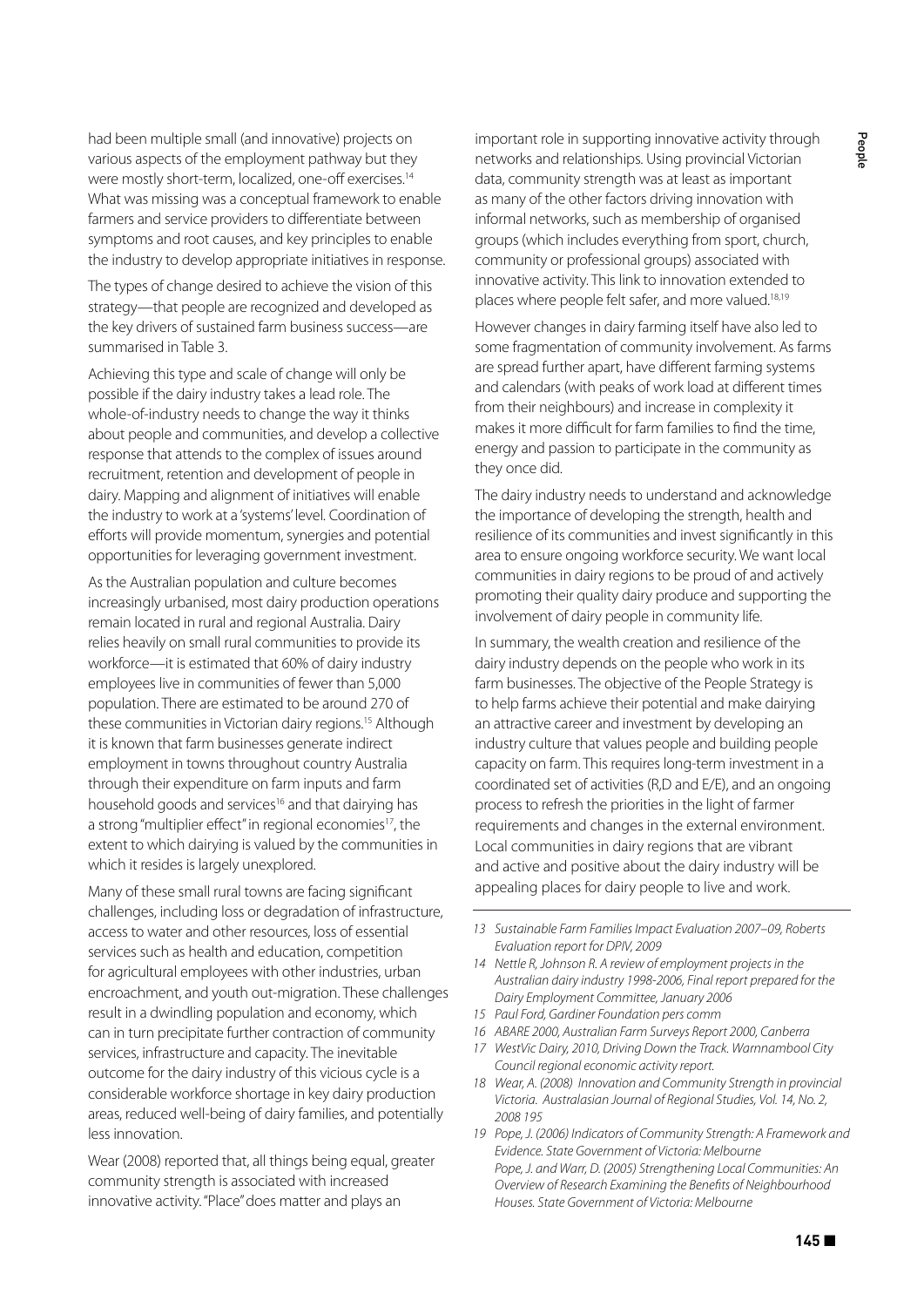had been multiple small (and innovative) projects on various aspects of the employment pathway but they were mostly short-term, localized, one-off exercises.<sup>14</sup> What was missing was a conceptual framework to enable farmers and service providers to differentiate between symptoms and root causes, and key principles to enable the industry to develop appropriate initiatives in response.

The types of change desired to achieve the vision of this strategy—that people are recognized and developed as the key drivers of sustained farm business success—are summarised in Table 3.

Achieving this type and scale of change will only be possible if the dairy industry takes a lead role. The whole-of-industry needs to change the way it thinks about people and communities, and develop a collective response that attends to the complex of issues around recruitment, retention and development of people in dairy. Mapping and alignment of initiatives will enable the industry to work at a 'systems' level. Coordination of efforts will provide momentum, synergies and potential opportunities for leveraging government investment.

As the Australian population and culture becomes increasingly urbanised, most dairy production operations remain located in rural and regional Australia. Dairy relies heavily on small rural communities to provide its workforce—it is estimated that 60% of dairy industry employees live in communities of fewer than 5,000 population. There are estimated to be around 270 of these communities in Victorian dairy regions.<sup>15</sup> Although it is known that farm businesses generate indirect employment in towns throughout country Australia through their expenditure on farm inputs and farm household goods and services<sup>16</sup> and that dairying has a strong "multiplier effect" in regional economies<sup>17</sup>, the extent to which dairying is valued by the communities in which it resides is largely unexplored.

Many of these small rural towns are facing significant challenges, including loss or degradation of infrastructure, access to water and other resources, loss of essential services such as health and education, competition for agricultural employees with other industries, urban encroachment, and youth out-migration. These challenges result in a dwindling population and economy, which can in turn precipitate further contraction of community services, infrastructure and capacity. The inevitable outcome for the dairy industry of this vicious cycle is a considerable workforce shortage in key dairy production areas, reduced well-being of dairy families, and potentially less innovation.

Wear (2008) reported that, all things being equal, greater community strength is associated with increased innovative activity. "Place" does matter and plays an

important role in supporting innovative activity through networks and relationships. Using provincial Victorian data, community strength was at least as important as many of the other factors driving innovation with informal networks, such as membership of organised groups (which includes everything from sport, church, community or professional groups) associated with innovative activity. This link to innovation extended to places where people felt safer, and more valued.<sup>18,19</sup>

However changes in dairy farming itself have also led to some fragmentation of community involvement. As farms are spread further apart, have different farming systems and calendars (with peaks of work load at different times from their neighbours) and increase in complexity it makes it more difficult for farm families to find the time, energy and passion to participate in the community as they once did.

The dairy industry needs to understand and acknowledge the importance of developing the strength, health and resilience of its communities and invest significantly in this area to ensure ongoing workforce security. We want local communities in dairy regions to be proud of and actively promoting their quality dairy produce and supporting the involvement of dairy people in community life.

In summary, the wealth creation and resilience of the dairy industry depends on the people who work in its farm businesses. The objective of the People Strategy is to help farms achieve their potential and make dairying an attractive career and investment by developing an industry culture that values people and building people capacity on farm. This requires long-term investment in a coordinated set of activities (R,D and E/E), and an ongoing process to refresh the priorities in the light of farmer requirements and changes in the external environment. Local communities in dairy regions that are vibrant and active and positive about the dairy industry will be appealing places for dairy people to live and work.

- *15 Paul Ford, Gardiner Foundation pers comm*
- *16 ABARE 2000, Australian Farm Surveys Report 2000, Canberra*
- *17 WestVic Dairy, 2010, Driving Down the Track. Warnnambool City Council regional economic activity report.*
- *18 Wear, A. (2008) Innovation and Community Strength in provincial Victoria. Australasian Journal of Regional Studies, Vol. 14, No. 2, 2008 195*
- *19 Pope, J. (2006) Indicators of Community Strength: A Framework and Evidence. State Government of Victoria: Melbourne Pope, J. and Warr, D. (2005) Strengthening Local Communities: An Overview of Research Examining the Benefits of Neighbourhood Houses. State Government of Victoria: Melbourne*

*<sup>13</sup> Sustainable Farm Families Impact Evaluation 2007–09, Roberts Evaluation report for DPIV, 2009*

*<sup>14</sup> Nettle R, Johnson R. A review of employment projects in the Australian dairy industry 1998-2006, Final report prepared for the Dairy Employment Committee, January 2006*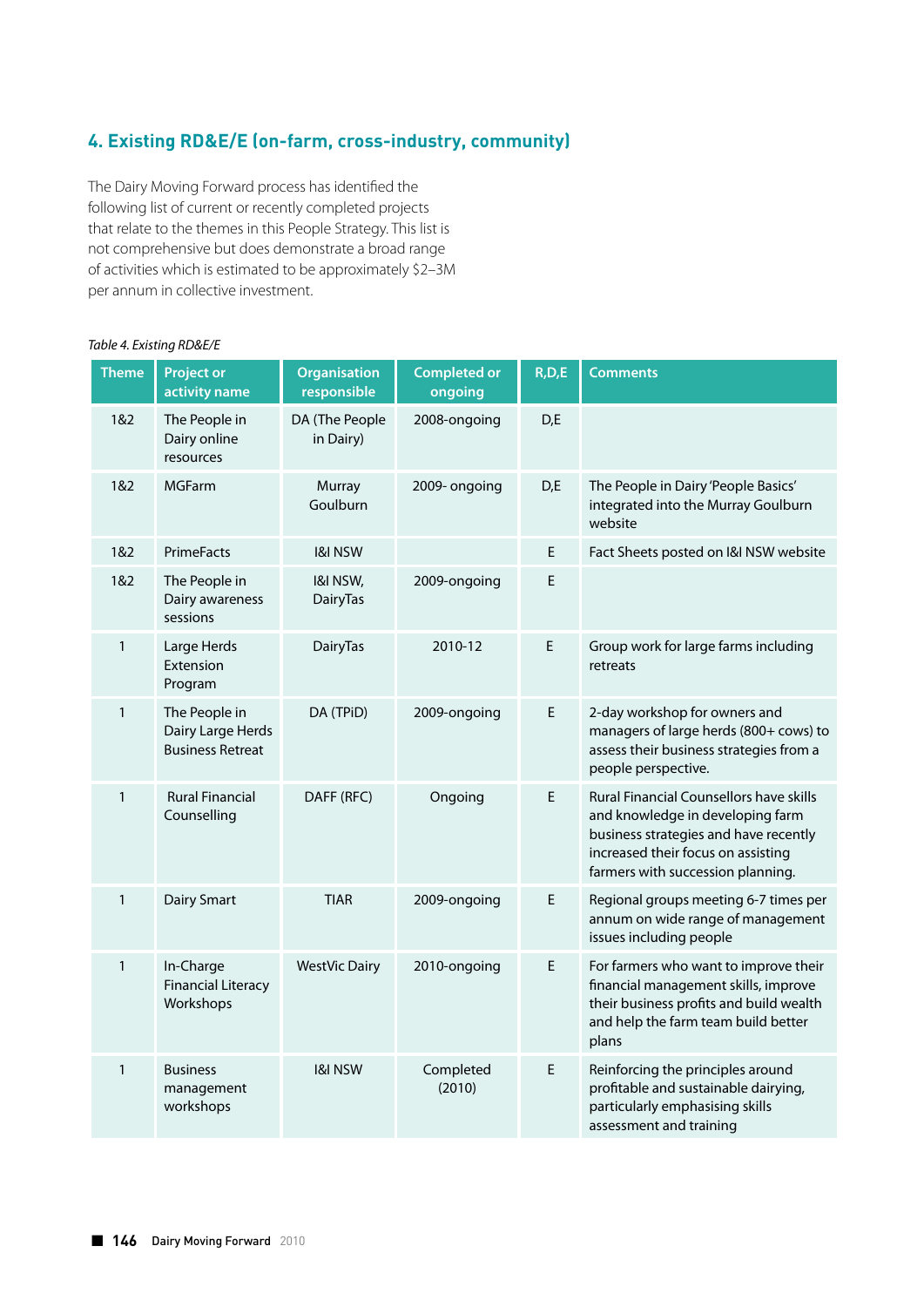# **4. Existing RD&E/E (on-farm, cross-industry, community)**

The Dairy Moving Forward process has identified the following list of current or recently completed projects that relate to the themes in this People Strategy. This list is not comprehensive but does demonstrate a broad range of activities which is estimated to be approximately \$2–3M per annum in collective investment.

#### *Table 4. Existing RD&E/E*

| <b>Theme</b> | <b>Project or</b><br>activity name                            | <b>Organisation</b><br>responsible | <b>Completed or</b><br>ongoing | R, D, E | <b>Comments</b>                                                                                                                                                                                 |
|--------------|---------------------------------------------------------------|------------------------------------|--------------------------------|---------|-------------------------------------------------------------------------------------------------------------------------------------------------------------------------------------------------|
| 1&2          | The People in<br>Dairy online<br>resources                    | DA (The People<br>in Dairy)        | 2008-ongoing                   | D,E     |                                                                                                                                                                                                 |
| 1&2          | <b>MGFarm</b>                                                 | Murray<br>Goulburn                 | 2009- ongoing                  | D,E     | The People in Dairy 'People Basics'<br>integrated into the Murray Goulburn<br>website                                                                                                           |
| 1&2          | PrimeFacts                                                    | <b>I&amp;I NSW</b>                 |                                | E       | Fact Sheets posted on I&I NSW website                                                                                                                                                           |
| 1&2          | The People in<br>Dairy awareness<br>sessions                  | I&I NSW,<br><b>DairyTas</b>        | 2009-ongoing                   | E       |                                                                                                                                                                                                 |
| $\mathbf{1}$ | Large Herds<br>Extension<br>Program                           | DairyTas                           | 2010-12                        | E.      | Group work for large farms including<br>retreats                                                                                                                                                |
| $\mathbf{1}$ | The People in<br>Dairy Large Herds<br><b>Business Retreat</b> | DA (TPiD)                          | 2009-ongoing                   | E       | 2-day workshop for owners and<br>managers of large herds (800+ cows) to<br>assess their business strategies from a<br>people perspective.                                                       |
| 1            | <b>Rural Financial</b><br>Counselling                         | DAFF (RFC)                         | Ongoing                        | E       | Rural Financial Counsellors have skills<br>and knowledge in developing farm<br>business strategies and have recently<br>increased their focus on assisting<br>farmers with succession planning. |
| 1            | Dairy Smart                                                   | <b>TIAR</b>                        | 2009-ongoing                   | E       | Regional groups meeting 6-7 times per<br>annum on wide range of management<br>issues including people                                                                                           |
| 1            | In-Charge<br><b>Financial Literacy</b><br>Workshops           | <b>WestVic Dairy</b>               | 2010-ongoing                   | E       | For farmers who want to improve their<br>financial management skills, improve<br>their business profits and build wealth<br>and help the farm team build better<br>plans                        |
| $\mathbf{1}$ | <b>Business</b><br>management<br>workshops                    | <b>I&amp;I NSW</b>                 | Completed<br>(2010)            | E       | Reinforcing the principles around<br>profitable and sustainable dairying,<br>particularly emphasising skills<br>assessment and training                                                         |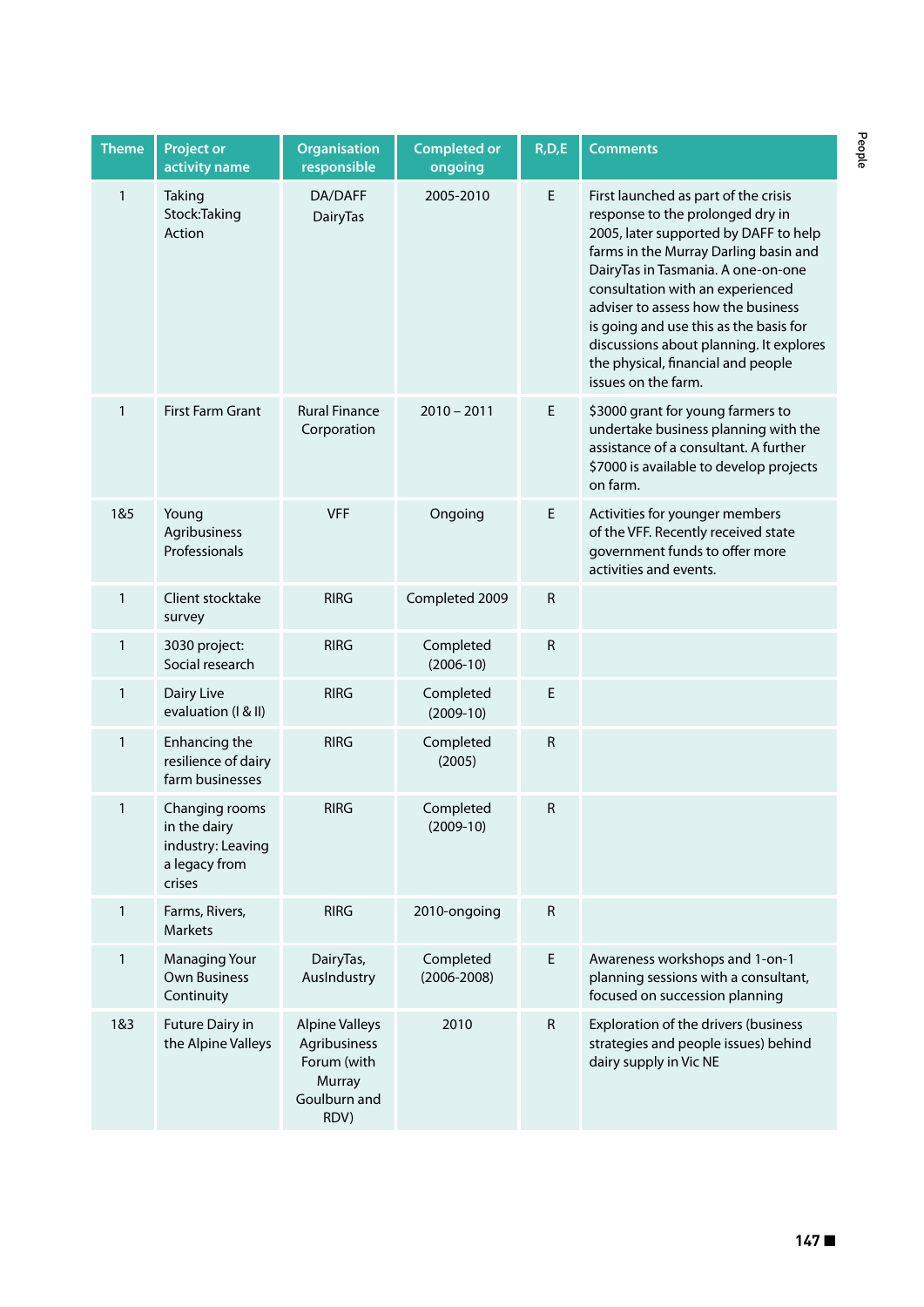| <b>Theme</b> | <b>Project or</b><br>activity name                                             | <b>Organisation</b><br>responsible                                                     | <b>Completed or</b><br>ongoing | R, D, E     | <b>Comments</b>                                                                                                                                                                                                                                                                                                                                                                                                              |
|--------------|--------------------------------------------------------------------------------|----------------------------------------------------------------------------------------|--------------------------------|-------------|------------------------------------------------------------------------------------------------------------------------------------------------------------------------------------------------------------------------------------------------------------------------------------------------------------------------------------------------------------------------------------------------------------------------------|
| 1            | Taking<br>Stock:Taking<br>Action                                               | DA/DAFF<br>DairyTas                                                                    | 2005-2010                      | E           | First launched as part of the crisis<br>response to the prolonged dry in<br>2005, later supported by DAFF to help<br>farms in the Murray Darling basin and<br>DairyTas in Tasmania. A one-on-one<br>consultation with an experienced<br>adviser to assess how the business<br>is going and use this as the basis for<br>discussions about planning. It explores<br>the physical, financial and people<br>issues on the farm. |
| $\mathbf{1}$ | First Farm Grant                                                               | <b>Rural Finance</b><br>Corporation                                                    | $2010 - 2011$                  | E           | \$3000 grant for young farmers to<br>undertake business planning with the<br>assistance of a consultant. A further<br>\$7000 is available to develop projects<br>on farm.                                                                                                                                                                                                                                                    |
| 1&5          | Young<br>Agribusiness<br>Professionals                                         | <b>VFF</b>                                                                             | Ongoing                        | E           | Activities for younger members<br>of the VFF. Recently received state<br>government funds to offer more<br>activities and events.                                                                                                                                                                                                                                                                                            |
| 1            | Client stocktake<br>survey                                                     | <b>RIRG</b>                                                                            | Completed 2009                 | R           |                                                                                                                                                                                                                                                                                                                                                                                                                              |
| 1            | 3030 project:<br>Social research                                               | <b>RIRG</b>                                                                            | Completed<br>$(2006-10)$       | ${\sf R}$   |                                                                                                                                                                                                                                                                                                                                                                                                                              |
| 1            | Dairy Live<br>evaluation (I & II)                                              | <b>RIRG</b>                                                                            | Completed<br>$(2009-10)$       | $\mathsf E$ |                                                                                                                                                                                                                                                                                                                                                                                                                              |
| 1            | Enhancing the<br>resilience of dairy<br>farm businesses                        | <b>RIRG</b>                                                                            | Completed<br>(2005)            | ${\sf R}$   |                                                                                                                                                                                                                                                                                                                                                                                                                              |
| 1            | Changing rooms<br>in the dairy<br>industry: Leaving<br>a legacy from<br>crises | <b>RIRG</b>                                                                            | Completed<br>$(2009-10)$       | R           |                                                                                                                                                                                                                                                                                                                                                                                                                              |
| $\mathbf{1}$ | Farms, Rivers,<br>Markets                                                      | <b>RIRG</b>                                                                            | 2010-ongoing                   | R           |                                                                                                                                                                                                                                                                                                                                                                                                                              |
| $\mathbf{1}$ | <b>Managing Your</b><br><b>Own Business</b><br>Continuity                      | DairyTas,<br>AusIndustry                                                               | Completed<br>$(2006 - 2008)$   | E.          | Awareness workshops and 1-on-1<br>planning sessions with a consultant,<br>focused on succession planning                                                                                                                                                                                                                                                                                                                     |
| 1&3          | Future Dairy in<br>the Alpine Valleys                                          | <b>Alpine Valleys</b><br>Agribusiness<br>Forum (with<br>Murray<br>Goulburn and<br>RDV) | 2010                           | ${\sf R}$   | Exploration of the drivers (business<br>strategies and people issues) behind<br>dairy supply in Vic NE                                                                                                                                                                                                                                                                                                                       |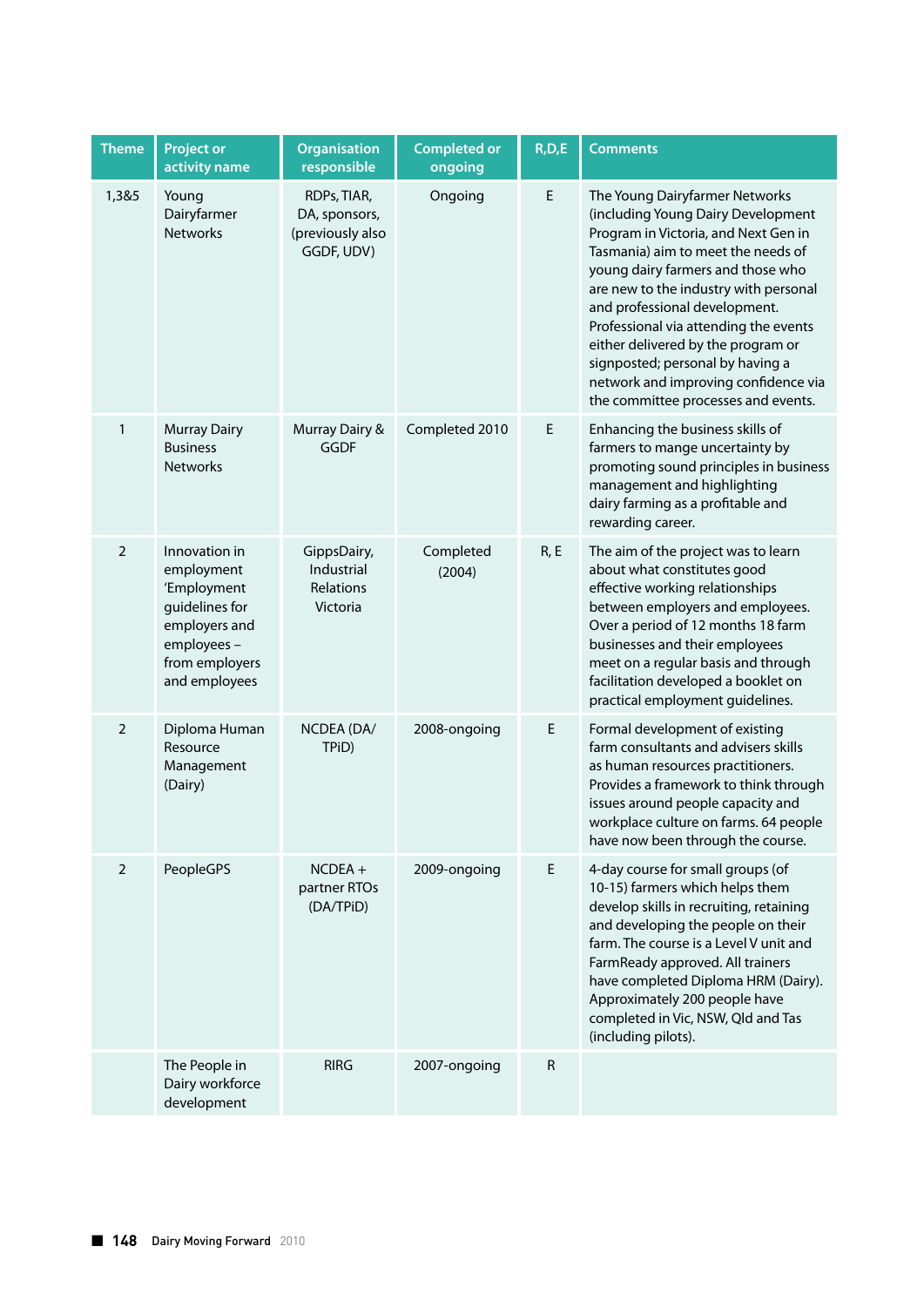| <b>Theme</b>   | <b>Project or</b><br>activity name                                                                                             | <b>Organisation</b><br>responsible                             | <b>Completed or</b><br>ongoing | R, D, E | <b>Comments</b>                                                                                                                                                                                                                                                                                                                                                                                                                                                     |
|----------------|--------------------------------------------------------------------------------------------------------------------------------|----------------------------------------------------------------|--------------------------------|---------|---------------------------------------------------------------------------------------------------------------------------------------------------------------------------------------------------------------------------------------------------------------------------------------------------------------------------------------------------------------------------------------------------------------------------------------------------------------------|
| 1,3&5          | Young<br>Dairyfarmer<br><b>Networks</b>                                                                                        | RDPs, TIAR,<br>DA, sponsors,<br>(previously also<br>GGDF, UDV) | Ongoing                        | E       | The Young Dairyfarmer Networks<br>(including Young Dairy Development<br>Program in Victoria, and Next Gen in<br>Tasmania) aim to meet the needs of<br>young dairy farmers and those who<br>are new to the industry with personal<br>and professional development.<br>Professional via attending the events<br>either delivered by the program or<br>signposted; personal by having a<br>network and improving confidence via<br>the committee processes and events. |
| $\mathbf{1}$   | <b>Murray Dairy</b><br><b>Business</b><br><b>Networks</b>                                                                      | Murray Dairy &<br><b>GGDF</b>                                  | Completed 2010                 | E       | Enhancing the business skills of<br>farmers to mange uncertainty by<br>promoting sound principles in business<br>management and highlighting<br>dairy farming as a profitable and<br>rewarding career.                                                                                                                                                                                                                                                              |
| $\overline{2}$ | Innovation in<br>employment<br>'Employment<br>guidelines for<br>employers and<br>employees-<br>from employers<br>and employees | GippsDairy,<br>Industrial<br>Relations<br>Victoria             | Completed<br>(2004)            | R, E    | The aim of the project was to learn<br>about what constitutes good<br>effective working relationships<br>between employers and employees.<br>Over a period of 12 months 18 farm<br>businesses and their employees<br>meet on a regular basis and through<br>facilitation developed a booklet on<br>practical employment guidelines.                                                                                                                                 |
| $\overline{2}$ | Diploma Human<br>Resource<br>Management<br>(Dairy)                                                                             | NCDEA (DA/<br>TPiD)                                            | 2008-ongoing                   | E       | Formal development of existing<br>farm consultants and advisers skills<br>as human resources practitioners.<br>Provides a framework to think through<br>issues around people capacity and<br>workplace culture on farms. 64 people<br>have now been through the course.                                                                                                                                                                                             |
| $\overline{2}$ | <b>PeopleGPS</b>                                                                                                               | $NCDEA +$<br>partner RTOs<br>(DA/TPID)                         | 2009-ongoing                   | E       | 4-day course for small groups (of<br>10-15) farmers which helps them<br>develop skills in recruiting, retaining<br>and developing the people on their<br>farm. The course is a Level V unit and<br>FarmReady approved. All trainers<br>have completed Diploma HRM (Dairy).<br>Approximately 200 people have<br>completed in Vic, NSW, Qld and Tas<br>(including pilots).                                                                                            |
|                | The People in<br>Dairy workforce<br>development                                                                                | <b>RIRG</b>                                                    | 2007-ongoing                   | R       |                                                                                                                                                                                                                                                                                                                                                                                                                                                                     |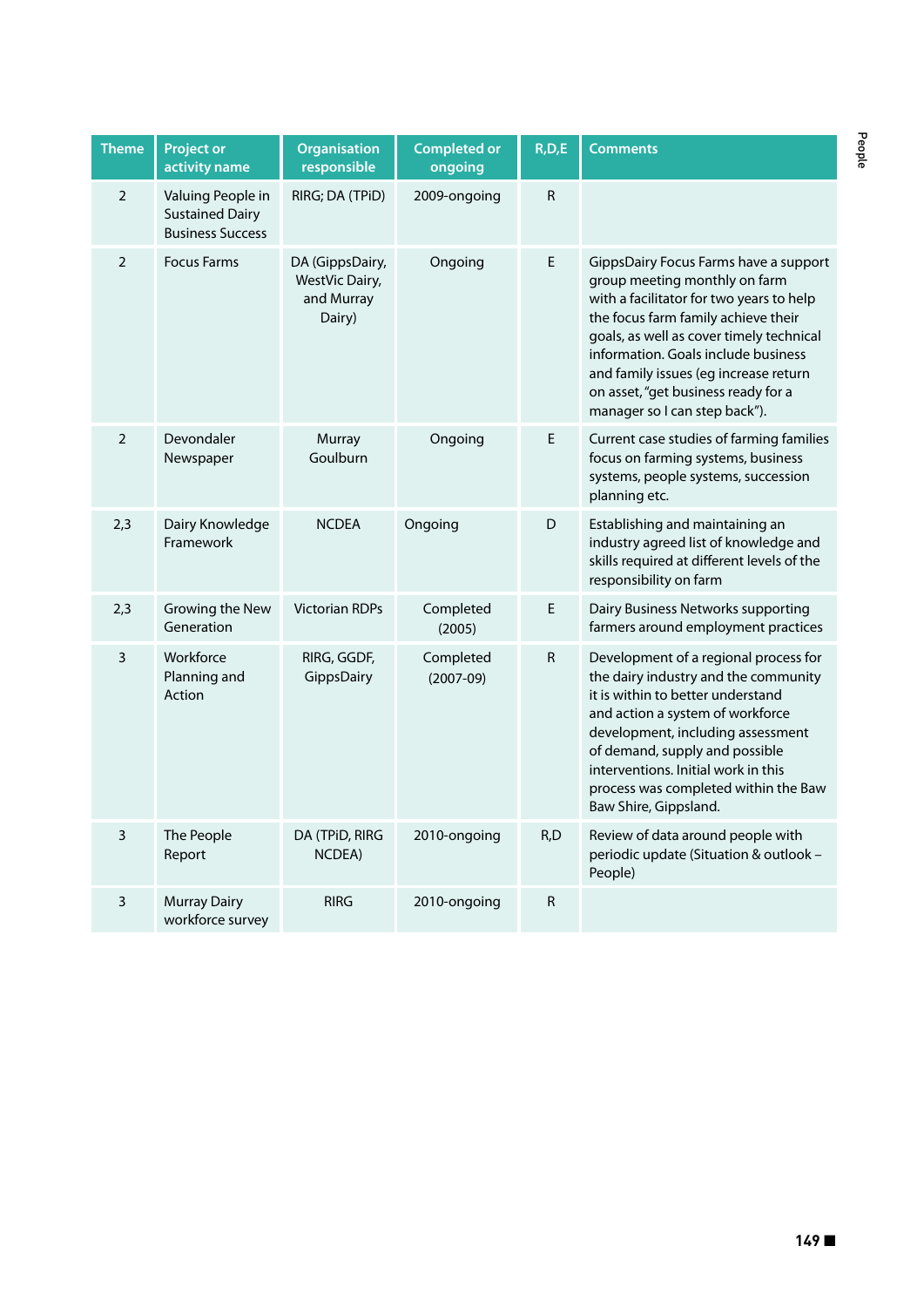| <b>Theme</b>   | <b>Project or</b><br>activity name                                     | <b>Organisation</b><br>responsible                        | <b>Completed or</b><br>ongoing | R, D, E      | <b>Comments</b>                                                                                                                                                                                                                                                                                                                                               |
|----------------|------------------------------------------------------------------------|-----------------------------------------------------------|--------------------------------|--------------|---------------------------------------------------------------------------------------------------------------------------------------------------------------------------------------------------------------------------------------------------------------------------------------------------------------------------------------------------------------|
| $\overline{2}$ | Valuing People in<br><b>Sustained Dairy</b><br><b>Business Success</b> | RIRG; DA (TPiD)                                           | 2009-ongoing                   | $\mathsf{R}$ |                                                                                                                                                                                                                                                                                                                                                               |
| $\overline{2}$ | <b>Focus Farms</b>                                                     | DA (GippsDairy,<br>WestVic Dairy,<br>and Murray<br>Dairy) | Ongoing                        | E            | GippsDairy Focus Farms have a support<br>group meeting monthly on farm<br>with a facilitator for two years to help<br>the focus farm family achieve their<br>goals, as well as cover timely technical<br>information. Goals include business<br>and family issues (eg increase return<br>on asset, "get business ready for a<br>manager so I can step back"). |
| $\overline{2}$ | Devondaler<br>Newspaper                                                | Murray<br>Goulburn                                        | Ongoing                        | E            | Current case studies of farming families<br>focus on farming systems, business<br>systems, people systems, succession<br>planning etc.                                                                                                                                                                                                                        |
| 2,3            | Dairy Knowledge<br>Framework                                           | <b>NCDEA</b>                                              | Ongoing                        | D            | Establishing and maintaining an<br>industry agreed list of knowledge and<br>skills required at different levels of the<br>responsibility on farm                                                                                                                                                                                                              |
| 2,3            | Growing the New<br>Generation                                          | <b>Victorian RDPs</b>                                     | Completed<br>(2005)            | E            | Dairy Business Networks supporting<br>farmers around employment practices                                                                                                                                                                                                                                                                                     |
| 3              | Workforce<br>Planning and<br>Action                                    | RIRG, GGDF,<br>GippsDairy                                 | Completed<br>$(2007-09)$       | R            | Development of a regional process for<br>the dairy industry and the community<br>it is within to better understand<br>and action a system of workforce<br>development, including assessment<br>of demand, supply and possible<br>interventions. Initial work in this<br>process was completed within the Baw<br>Baw Shire, Gippsland.                         |
| 3              | The People<br>Report                                                   | DA (TPiD, RIRG<br>NCDEA)                                  | 2010-ongoing                   | R,D          | Review of data around people with<br>periodic update (Situation & outlook -<br>People)                                                                                                                                                                                                                                                                        |
| 3              | <b>Murray Dairy</b><br>workforce survey                                | <b>RIRG</b>                                               | 2010-ongoing                   | R            |                                                                                                                                                                                                                                                                                                                                                               |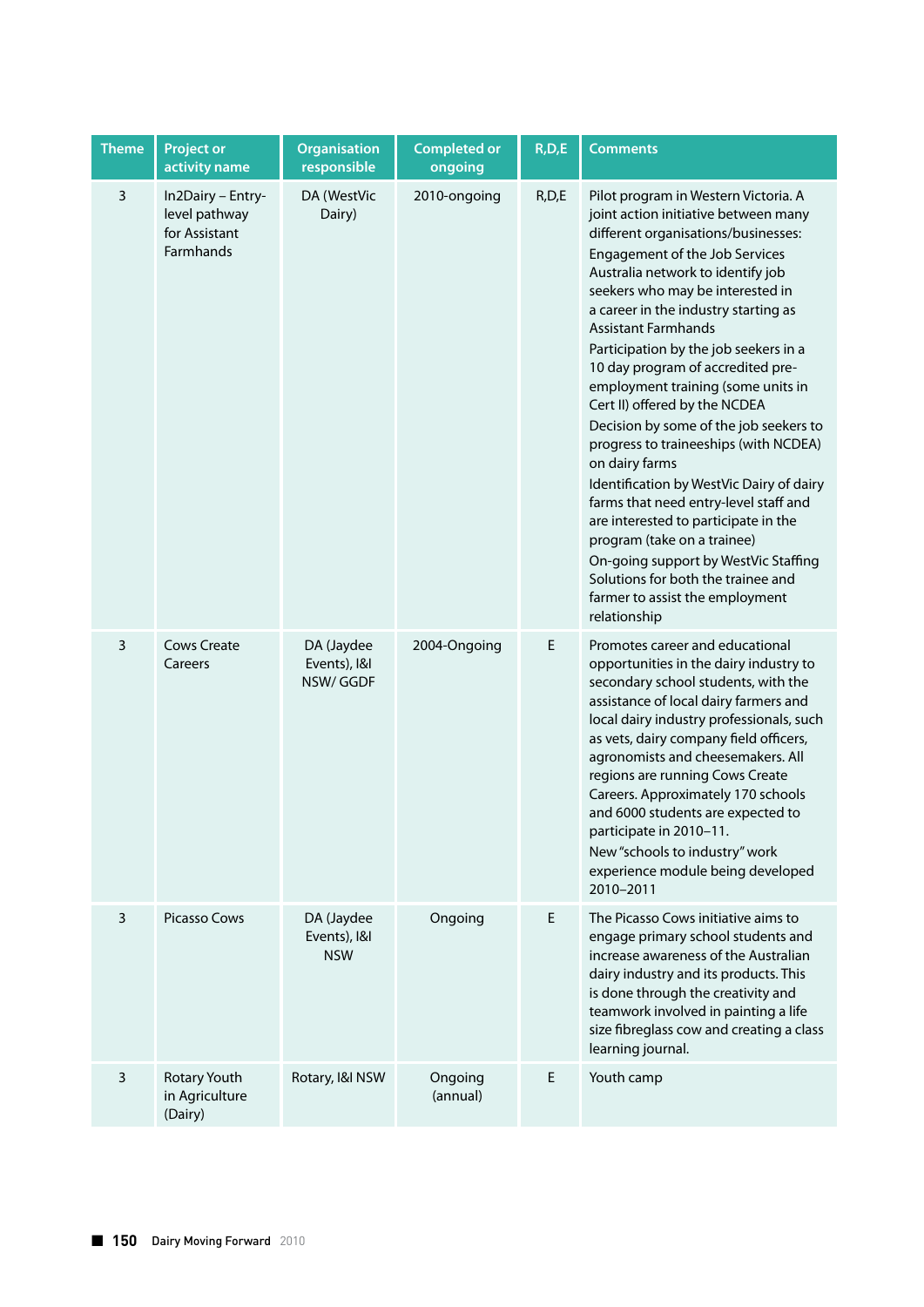| <b>Theme</b> | Project or<br>activity name                                      | <b>Organisation</b><br>responsible       | <b>Completed or</b><br>ongoing | R, D, E | <b>Comments</b>                                                                                                                                                                                                                                                                                                                                                                                                                                                                                                                                                                                                                                                                                                                                                                                                                                             |
|--------------|------------------------------------------------------------------|------------------------------------------|--------------------------------|---------|-------------------------------------------------------------------------------------------------------------------------------------------------------------------------------------------------------------------------------------------------------------------------------------------------------------------------------------------------------------------------------------------------------------------------------------------------------------------------------------------------------------------------------------------------------------------------------------------------------------------------------------------------------------------------------------------------------------------------------------------------------------------------------------------------------------------------------------------------------------|
| 3            | In2Dairy - Entry-<br>level pathway<br>for Assistant<br>Farmhands | DA (WestVic<br>Dairy)                    | 2010-ongoing                   | R, D, E | Pilot program in Western Victoria. A<br>joint action initiative between many<br>different organisations/businesses:<br>Engagement of the Job Services<br>Australia network to identify job<br>seekers who may be interested in<br>a career in the industry starting as<br><b>Assistant Farmhands</b><br>Participation by the job seekers in a<br>10 day program of accredited pre-<br>employment training (some units in<br>Cert II) offered by the NCDEA<br>Decision by some of the job seekers to<br>progress to traineeships (with NCDEA)<br>on dairy farms<br>Identification by WestVic Dairy of dairy<br>farms that need entry-level staff and<br>are interested to participate in the<br>program (take on a trainee)<br>On-going support by WestVic Staffing<br>Solutions for both the trainee and<br>farmer to assist the employment<br>relationship |
| 3            | <b>Cows Create</b><br>Careers                                    | DA (Jaydee<br>Events), I&I<br>NSW/GGDF   | 2004-Ongoing                   | E       | Promotes career and educational<br>opportunities in the dairy industry to<br>secondary school students, with the<br>assistance of local dairy farmers and<br>local dairy industry professionals, such<br>as vets, dairy company field officers,<br>agronomists and cheesemakers. All<br>regions are running Cows Create<br>Careers. Approximately 170 schools<br>and 6000 students are expected to<br>participate in 2010-11.<br>New "schools to industry" work<br>experience module being developed<br>2010-2011                                                                                                                                                                                                                                                                                                                                           |
| 3            | Picasso Cows                                                     | DA (Jaydee<br>Events), I&I<br><b>NSW</b> | Ongoing                        | E.      | The Picasso Cows initiative aims to<br>engage primary school students and<br>increase awareness of the Australian<br>dairy industry and its products. This<br>is done through the creativity and<br>teamwork involved in painting a life<br>size fibreglass cow and creating a class<br>learning journal.                                                                                                                                                                                                                                                                                                                                                                                                                                                                                                                                                   |
| 3            | Rotary Youth<br>in Agriculture<br>(Dairy)                        | Rotary, I&I NSW                          | Ongoing<br>(annual)            | E       | Youth camp                                                                                                                                                                                                                                                                                                                                                                                                                                                                                                                                                                                                                                                                                                                                                                                                                                                  |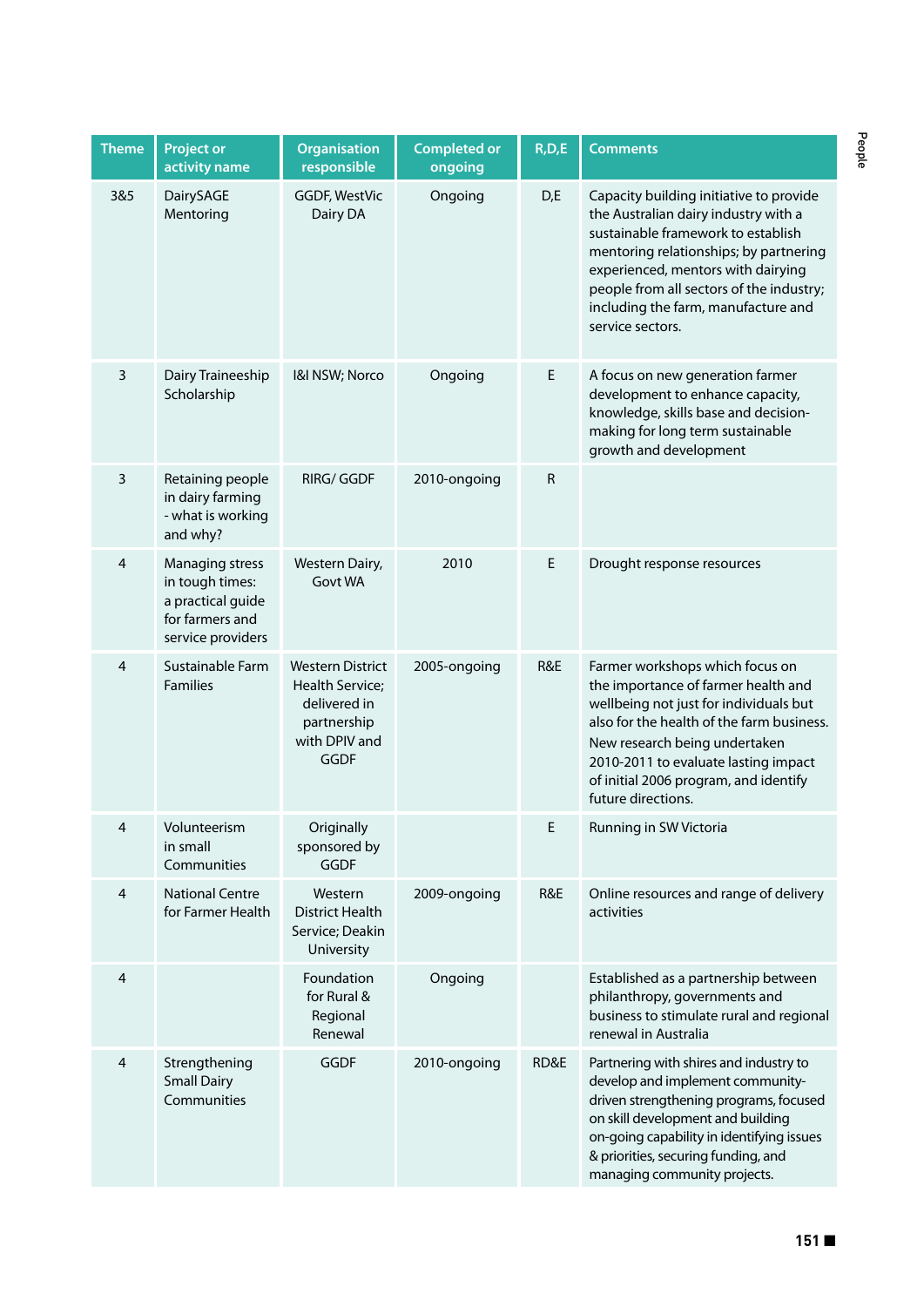| <b>Theme</b>   | <b>Project or</b><br>activity name                                                              | <b>Organisation</b><br>responsible                                                                 | <b>Completed or</b><br>ongoing | R, D, E   | <b>Comments</b>                                                                                                                                                                                                                                                                                              |
|----------------|-------------------------------------------------------------------------------------------------|----------------------------------------------------------------------------------------------------|--------------------------------|-----------|--------------------------------------------------------------------------------------------------------------------------------------------------------------------------------------------------------------------------------------------------------------------------------------------------------------|
| 3&5            | DairySAGE<br>Mentoring                                                                          | <b>GGDF, WestVic</b><br>Dairy DA                                                                   | Ongoing                        | D,E       | Capacity building initiative to provide<br>the Australian dairy industry with a<br>sustainable framework to establish<br>mentoring relationships; by partnering<br>experienced, mentors with dairying<br>people from all sectors of the industry;<br>including the farm, manufacture and<br>service sectors. |
| 3              | Dairy Traineeship<br>Scholarship                                                                | I&I NSW; Norco                                                                                     | Ongoing                        | E         | A focus on new generation farmer<br>development to enhance capacity,<br>knowledge, skills base and decision-<br>making for long term sustainable<br>growth and development                                                                                                                                   |
| 3              | Retaining people<br>in dairy farming<br>- what is working<br>and why?                           | <b>RIRG/GGDF</b>                                                                                   | 2010-ongoing                   | ${\sf R}$ |                                                                                                                                                                                                                                                                                                              |
| $\overline{4}$ | Managing stress<br>in tough times:<br>a practical guide<br>for farmers and<br>service providers | Western Dairy,<br>Govt WA                                                                          | 2010                           | E         | Drought response resources                                                                                                                                                                                                                                                                                   |
| $\overline{4}$ | Sustainable Farm<br><b>Families</b>                                                             | <b>Western District</b><br>Health Service;<br>delivered in<br>partnership<br>with DPIV and<br>GGDF | 2005-ongoing                   | R&E       | Farmer workshops which focus on<br>the importance of farmer health and<br>wellbeing not just for individuals but<br>also for the health of the farm business.<br>New research being undertaken<br>2010-2011 to evaluate lasting impact<br>of initial 2006 program, and identify<br>future directions.        |
| 4              | Volunteerism<br>in small<br>Communities                                                         | Originally<br>sponsored by<br><b>GGDF</b>                                                          |                                | E         | Running in SW Victoria                                                                                                                                                                                                                                                                                       |
| $\overline{4}$ | <b>National Centre</b><br>for Farmer Health                                                     | Western<br><b>District Health</b><br>Service; Deakin<br>University                                 | 2009-ongoing                   | R&E       | Online resources and range of delivery<br>activities                                                                                                                                                                                                                                                         |
| 4              |                                                                                                 | Foundation<br>for Rural &<br>Regional<br>Renewal                                                   | Ongoing                        |           | Established as a partnership between<br>philanthropy, governments and<br>business to stimulate rural and regional<br>renewal in Australia                                                                                                                                                                    |
| 4              | Strengthening<br><b>Small Dairy</b><br>Communities                                              | <b>GGDF</b>                                                                                        | 2010-ongoing                   | RD&E      | Partnering with shires and industry to<br>develop and implement community-<br>driven strengthening programs, focused<br>on skill development and building<br>on-going capability in identifying issues<br>& priorities, securing funding, and<br>managing community projects.                                |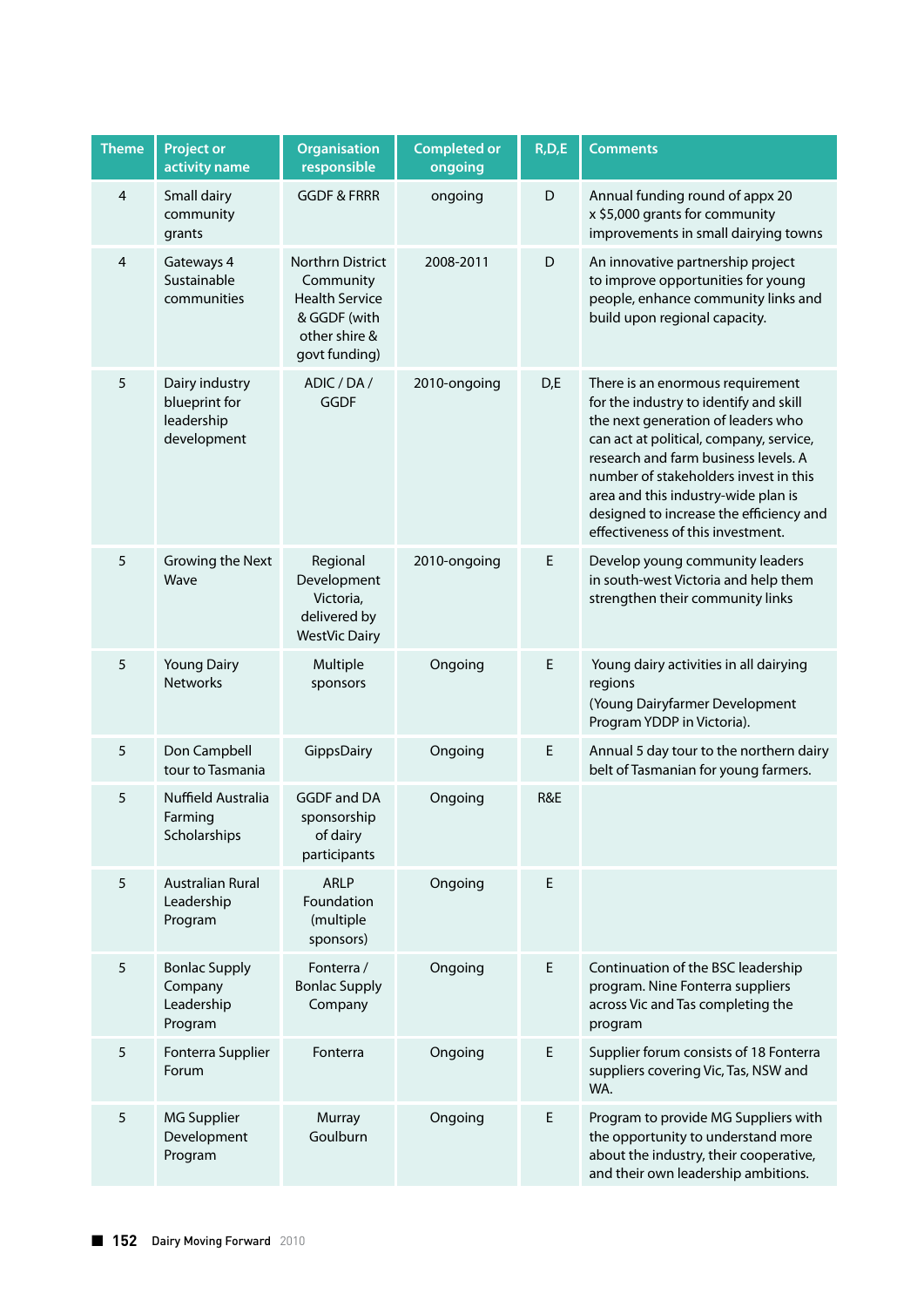| <b>Theme</b>            | <b>Project or</b><br>activity name                           | <b>Organisation</b><br>responsible                                                                              | <b>Completed or</b><br>ongoing | R, D, E | <b>Comments</b>                                                                                                                                                                                                                                                                                                                                                     |
|-------------------------|--------------------------------------------------------------|-----------------------------------------------------------------------------------------------------------------|--------------------------------|---------|---------------------------------------------------------------------------------------------------------------------------------------------------------------------------------------------------------------------------------------------------------------------------------------------------------------------------------------------------------------------|
| $\overline{\mathbf{4}}$ | Small dairy<br>community<br>grants                           | <b>GGDF &amp; FRRR</b>                                                                                          | ongoing                        | D       | Annual funding round of appx 20<br>x \$5,000 grants for community<br>improvements in small dairying towns                                                                                                                                                                                                                                                           |
| $\overline{\mathbf{4}}$ | Gateways 4<br>Sustainable<br>communities                     | <b>Northrn District</b><br>Community<br><b>Health Service</b><br>& GGDF (with<br>other shire &<br>govt funding) | 2008-2011                      | D       | An innovative partnership project<br>to improve opportunities for young<br>people, enhance community links and<br>build upon regional capacity.                                                                                                                                                                                                                     |
| 5                       | Dairy industry<br>blueprint for<br>leadership<br>development | ADIC / DA /<br><b>GGDF</b>                                                                                      | 2010-ongoing                   | D,E     | There is an enormous requirement<br>for the industry to identify and skill<br>the next generation of leaders who<br>can act at political, company, service,<br>research and farm business levels. A<br>number of stakeholders invest in this<br>area and this industry-wide plan is<br>designed to increase the efficiency and<br>effectiveness of this investment. |
| 5                       | Growing the Next<br>Wave                                     | Regional<br>Development<br>Victoria,<br>delivered by<br><b>WestVic Dairy</b>                                    | 2010-ongoing                   | Е       | Develop young community leaders<br>in south-west Victoria and help them<br>strengthen their community links                                                                                                                                                                                                                                                         |
| 5                       | <b>Young Dairy</b><br><b>Networks</b>                        | Multiple<br>sponsors                                                                                            | Ongoing                        | E       | Young dairy activities in all dairying<br>regions<br>(Young Dairyfarmer Development<br>Program YDDP in Victoria).                                                                                                                                                                                                                                                   |
| 5                       | Don Campbell<br>tour to Tasmania                             | GippsDairy                                                                                                      | Ongoing                        | E       | Annual 5 day tour to the northern dairy<br>belt of Tasmanian for young farmers.                                                                                                                                                                                                                                                                                     |
| 5                       | Nuffield Australia<br>Farming<br>Scholarships                | <b>GGDF and DA</b><br>sponsorship<br>of dairy<br>participants                                                   | Ongoing                        | R&E     |                                                                                                                                                                                                                                                                                                                                                                     |
| 5                       | <b>Australian Rural</b><br>Leadership<br>Program             | <b>ARLP</b><br>Foundation<br>(multiple<br>sponsors)                                                             | Ongoing                        | E       |                                                                                                                                                                                                                                                                                                                                                                     |
| 5                       | <b>Bonlac Supply</b><br>Company<br>Leadership<br>Program     | Fonterra /<br><b>Bonlac Supply</b><br>Company                                                                   | Ongoing                        | E       | Continuation of the BSC leadership<br>program. Nine Fonterra suppliers<br>across Vic and Tas completing the<br>program                                                                                                                                                                                                                                              |
| 5                       | Fonterra Supplier<br>Forum                                   | Fonterra                                                                                                        | Ongoing                        | E       | Supplier forum consists of 18 Fonterra<br>suppliers covering Vic, Tas, NSW and<br>WA.                                                                                                                                                                                                                                                                               |
| 5                       | <b>MG Supplier</b><br>Development<br>Program                 | Murray<br>Goulburn                                                                                              | Ongoing                        | E       | Program to provide MG Suppliers with<br>the opportunity to understand more<br>about the industry, their cooperative,<br>and their own leadership ambitions.                                                                                                                                                                                                         |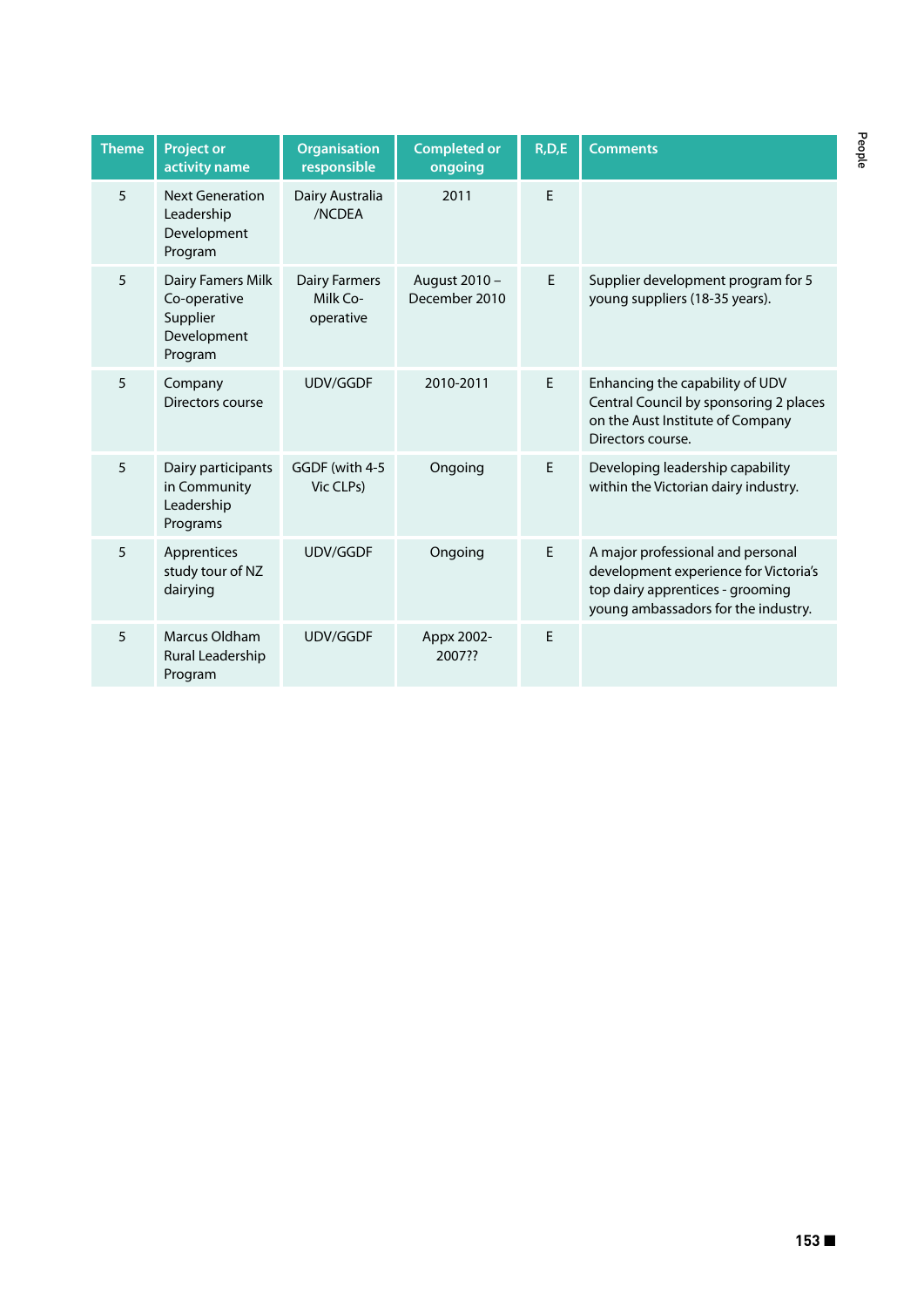| <b>Theme</b> | <b>Project or</b><br>activity name                                      | <b>Organisation</b><br>responsible            | <b>Completed or</b><br>ongoing | R, D, E | <b>Comments</b>                                                                                                                                       |
|--------------|-------------------------------------------------------------------------|-----------------------------------------------|--------------------------------|---------|-------------------------------------------------------------------------------------------------------------------------------------------------------|
| 5            | <b>Next Generation</b><br>Leadership<br>Development<br>Program          | Dairy Australia<br>/NCDEA                     | 2011                           | E       |                                                                                                                                                       |
| 5            | Dairy Famers Milk<br>Co-operative<br>Supplier<br>Development<br>Program | <b>Dairy Farmers</b><br>Milk Co-<br>operative | August 2010 -<br>December 2010 | E.      | Supplier development program for 5<br>young suppliers (18-35 years).                                                                                  |
| 5            | Company<br>Directors course                                             | <b>UDV/GGDF</b>                               | 2010-2011                      | E       | Enhancing the capability of UDV<br>Central Council by sponsoring 2 places<br>on the Aust Institute of Company<br>Directors course.                    |
| 5            | Dairy participants<br>in Community<br>Leadership<br>Programs            | GGDF (with 4-5<br>Vic CLPs)                   | Ongoing                        | E       | Developing leadership capability<br>within the Victorian dairy industry.                                                                              |
| 5            | Apprentices<br>study tour of NZ<br>dairying                             | UDV/GGDF                                      | Ongoing                        | E       | A major professional and personal<br>development experience for Victoria's<br>top dairy apprentices - grooming<br>young ambassadors for the industry. |
| 5            | Marcus Oldham<br>Rural Leadership<br>Program                            | UDV/GGDF                                      | Appx 2002-<br>2007??           | E       |                                                                                                                                                       |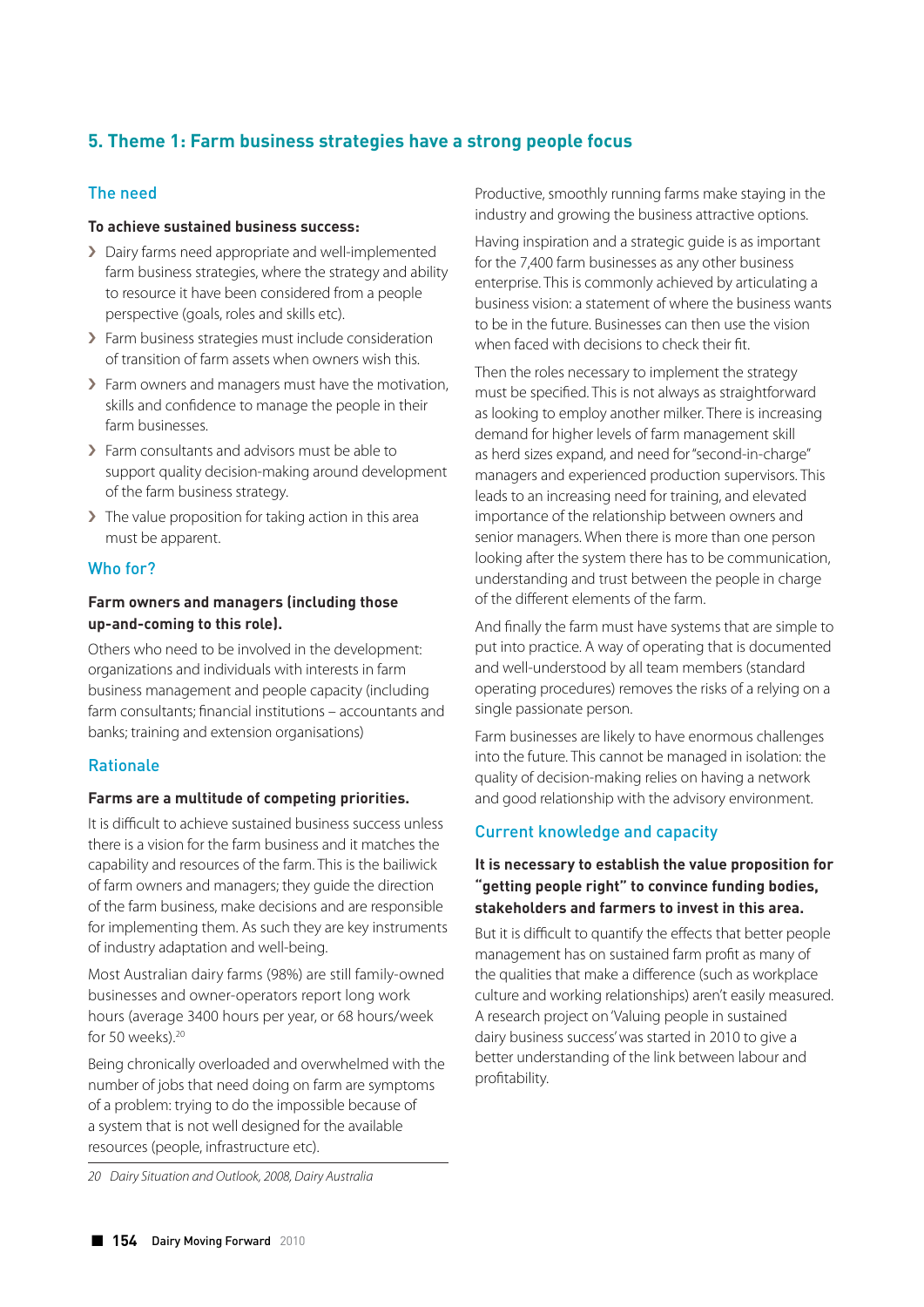# **5. Theme 1: Farm business strategies have a strong people focus**

# The need

### **To achieve sustained business success:**

- › Dairy farms need appropriate and well-implemented farm business strategies, where the strategy and ability to resource it have been considered from a people perspective (goals, roles and skills etc).
- > Farm business strategies must include consideration of transition of farm assets when owners wish this.
- › Farm owners and managers must have the motivation, skills and confidence to manage the people in their farm businesses.
- › Farm consultants and advisors must be able to support quality decision-making around development of the farm business strategy.
- > The value proposition for taking action in this area must be apparent.

# Who for?

# **Farm owners and managers (including those up-and-coming to this role).**

Others who need to be involved in the development: organizations and individuals with interests in farm business management and people capacity (including farm consultants; financial institutions – accountants and banks; training and extension organisations)

# Rationale

# **Farms are a multitude of competing priorities.**

It is difficult to achieve sustained business success unless there is a vision for the farm business and it matches the capability and resources of the farm. This is the bailiwick of farm owners and managers; they guide the direction of the farm business, make decisions and are responsible for implementing them. As such they are key instruments of industry adaptation and well-being.

Most Australian dairy farms (98%) are still family-owned businesses and owner-operators report long work hours (average 3400 hours per year, or 68 hours/week for 50 weeks).<sup>20</sup>

Being chronically overloaded and overwhelmed with the number of jobs that need doing on farm are symptoms of a problem: trying to do the impossible because of a system that is not well designed for the available resources (people, infrastructure etc).

*20 Dairy Situation and Outlook, 2008, Dairy Australia*

Productive, smoothly running farms make staying in the industry and growing the business attractive options.

Having inspiration and a strategic guide is as important for the 7,400 farm businesses as any other business enterprise. This is commonly achieved by articulating a business vision: a statement of where the business wants to be in the future. Businesses can then use the vision when faced with decisions to check their fit.

Then the roles necessary to implement the strategy must be specified. This is not always as straightforward as looking to employ another milker. There is increasing demand for higher levels of farm management skill as herd sizes expand, and need for "second-in-charge" managers and experienced production supervisors. This leads to an increasing need for training, and elevated importance of the relationship between owners and senior managers. When there is more than one person looking after the system there has to be communication, understanding and trust between the people in charge of the different elements of the farm.

And finally the farm must have systems that are simple to put into practice. A way of operating that is documented and well-understood by all team members (standard operating procedures) removes the risks of a relying on a single passionate person.

Farm businesses are likely to have enormous challenges into the future. This cannot be managed in isolation: the quality of decision-making relies on having a network and good relationship with the advisory environment.

# Current knowledge and capacity

# **It is necessary to establish the value proposition for "getting people right" to convince funding bodies, stakeholders and farmers to invest in this area.**

But it is difficult to quantify the effects that better people management has on sustained farm profit as many of the qualities that make a difference (such as workplace culture and working relationships) aren't easily measured. A research project on 'Valuing people in sustained dairy business success' was started in 2010 to give a better understanding of the link between labour and profitability.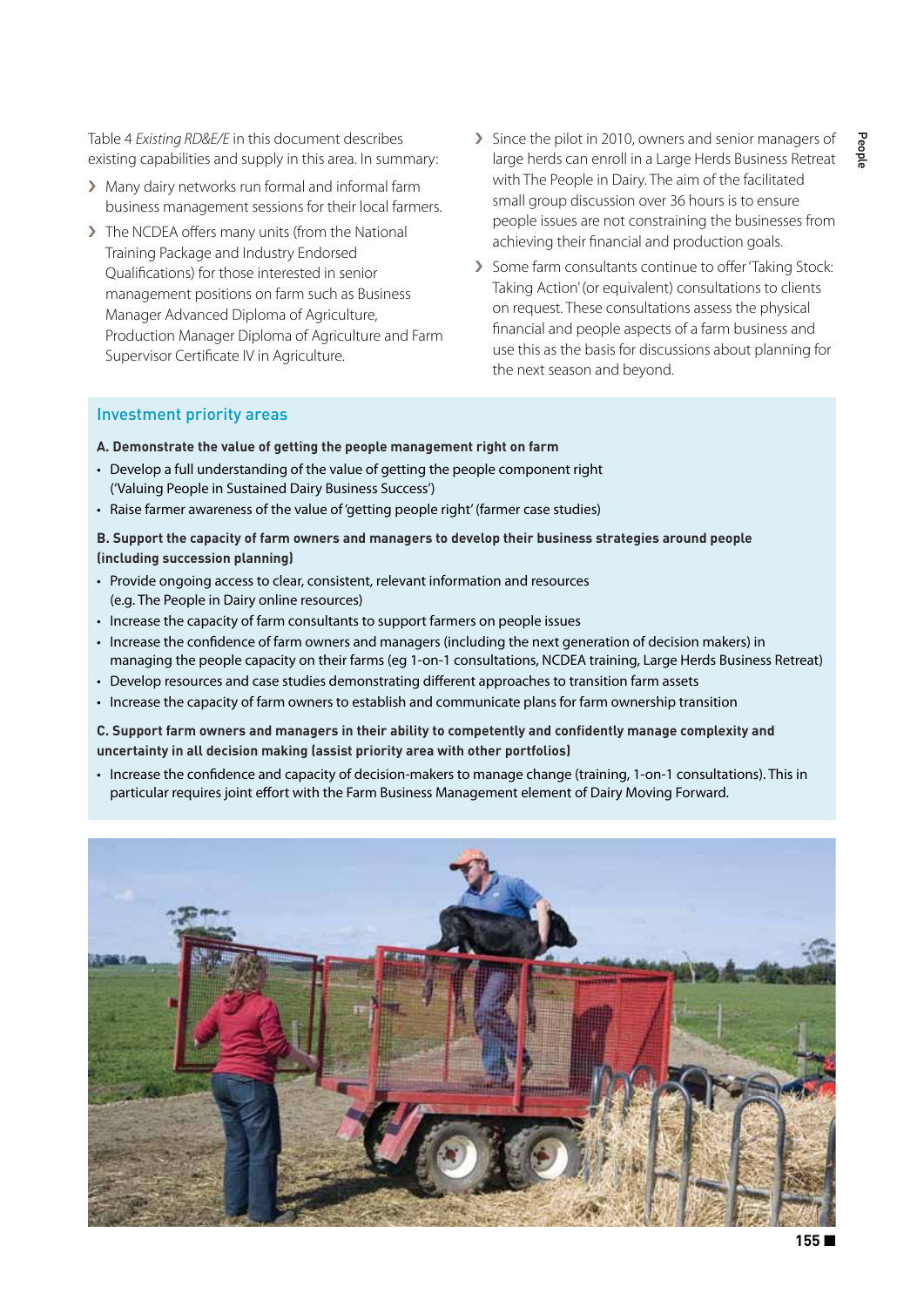Table 4 *Existing RD&E/E* in this document describes existing capabilities and supply in this area. In summary:

- › Many dairy networks run formal and informal farm business management sessions for their local farmers.
- › The NCDEA offers many units (from the National Training Package and Industry Endorsed Qualifications) for those interested in senior management positions on farm such as Business Manager Advanced Diploma of Agriculture, Production Manager Diploma of Agriculture and Farm Supervisor Certificate IV in Agriculture.
- › Since the pilot in 2010, owners and senior managers of large herds can enroll in a Large Herds Business Retreat with The People in Dairy. The aim of the facilitated small group discussion over 36 hours is to ensure people issues are not constraining the businesses from achieving their financial and production goals.
- › Some farm consultants continue to offer 'Taking Stock: Taking Action' (or equivalent) consultations to clients on request. These consultations assess the physical financial and people aspects of a farm business and use this as the basis for discussions about planning for the next season and beyond.

#### Investment priority areas

**A. Demonstrate the value of getting the people management right on farm**

- Develop a full understanding of the value of getting the people component right ('Valuing People in Sustained Dairy Business Success')
- Raise farmer awareness of the value of 'getting people right' (farmer case studies)

**B. Support the capacity of farm owners and managers to develop their business strategies around people (including succession planning)**

- Provide ongoing access to clear, consistent, relevant information and resources (e.g. The People in Dairy online resources)
- Increase the capacity of farm consultants to support farmers on people issues
- Increase the confidence of farm owners and managers (including the next generation of decision makers) in managing the people capacity on their farms (eg 1-on-1 consultations, NCDEA training, Large Herds Business Retreat)
- Develop resources and case studies demonstrating different approaches to transition farm assets
- Increase the capacity of farm owners to establish and communicate plans for farm ownership transition

**C. Support farm owners and managers in their ability to competently and confidently manage complexity and uncertainty in all decision making (assist priority area with other portfolios)**

• Increase the confidence and capacity of decision-makers to manage change (training, 1-on-1 consultations). This in particular requires joint effort with the Farm Business Management element of Dairy Moving Forward.

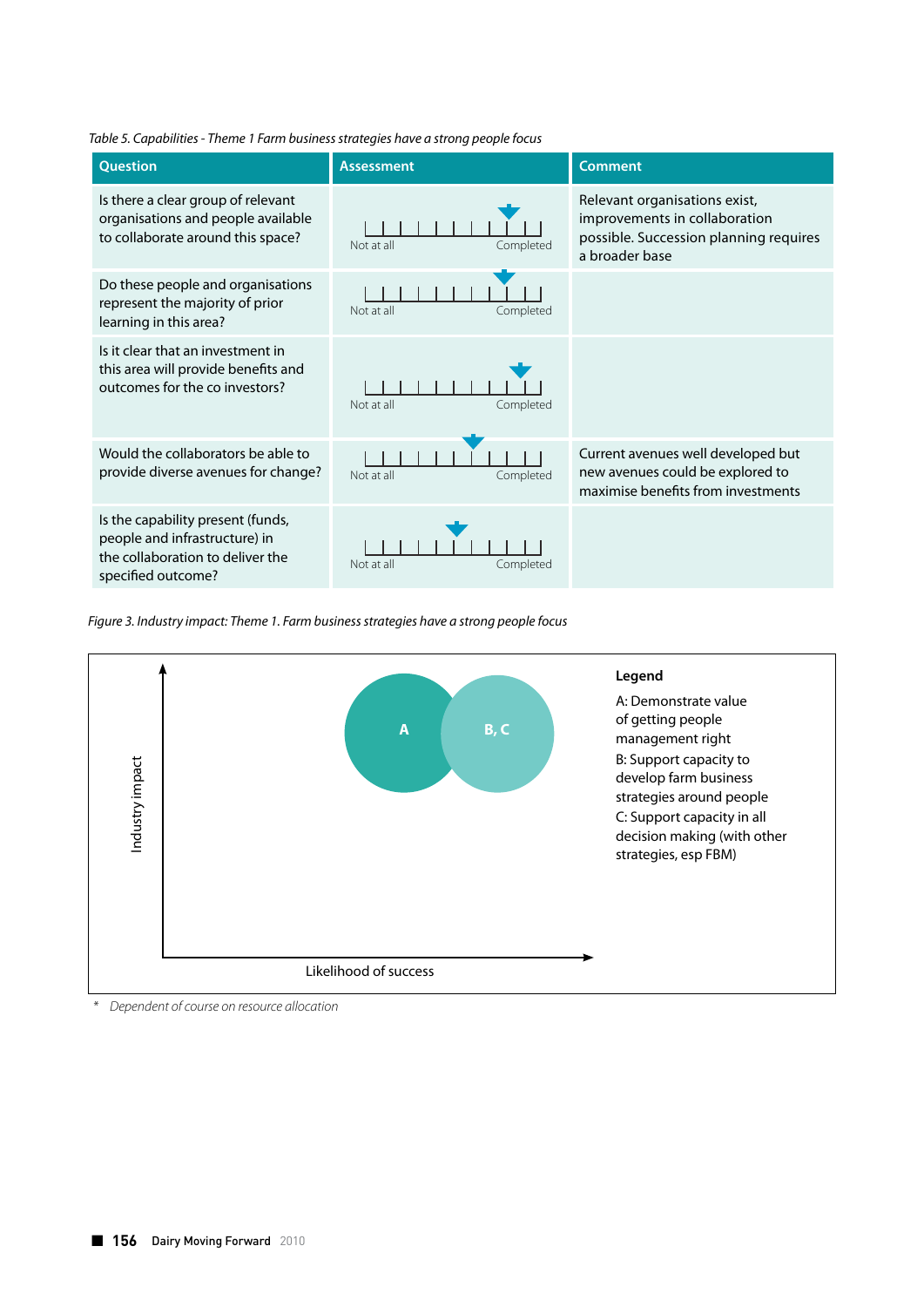| <b>Question</b>                                                                                                              | <b>Assessment</b>       | <b>Comment</b>                                                                                                             |
|------------------------------------------------------------------------------------------------------------------------------|-------------------------|----------------------------------------------------------------------------------------------------------------------------|
| Is there a clear group of relevant<br>organisations and people available<br>to collaborate around this space?                | Completed<br>Not at all | Relevant organisations exist,<br>improvements in collaboration<br>possible. Succession planning requires<br>a broader base |
| Do these people and organisations<br>represent the majority of prior<br>learning in this area?                               | Not at all<br>Completed |                                                                                                                            |
| Is it clear that an investment in<br>this area will provide benefits and<br>outcomes for the co investors?                   | Not at all<br>Completed |                                                                                                                            |
| Would the collaborators be able to<br>provide diverse avenues for change?                                                    | Not at all<br>Completed | Current avenues well developed but<br>new avenues could be explored to<br>maximise benefits from investments               |
| Is the capability present (funds,<br>people and infrastructure) in<br>the collaboration to deliver the<br>specified outcome? | Not at all<br>Completed |                                                                                                                            |

*Table 5. Capabilities - Theme 1 Farm business strategies have a strong people focus*

*Figure 3. Industry impact: Theme 1. Farm business strategies have a strong people focus*



 *\* Dependent of course on resource allocation*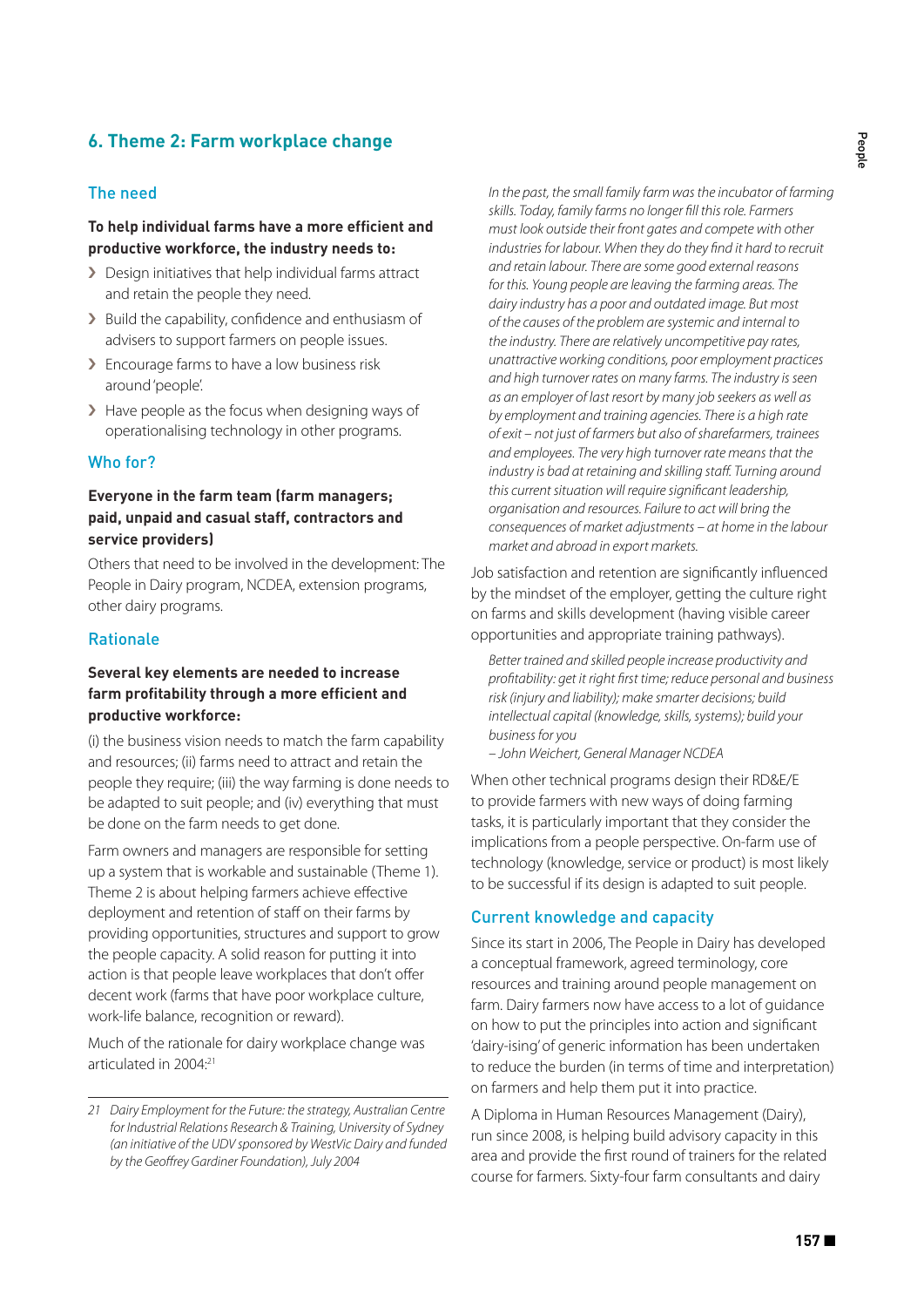# **6. Theme 2: Farm workplace change**

### The need

# **To help individual farms have a more efficient and productive workforce, the industry needs to:**

- › Design initiatives that help individual farms attract and retain the people they need.
- > Build the capability, confidence and enthusiasm of advisers to support farmers on people issues.
- > Encourage farms to have a low business risk around'people'.
- > Have people as the focus when designing ways of operationalising technology in other programs.

### Who for?

# **Everyone in the farm team (farm managers; paid, unpaid and casual staff, contractors and service providers)**

Others that need to be involved in the development: The People in Dairy program, NCDEA, extension programs, other dairy programs.

# Rationale

# **Several key elements are needed to increase farm profitability through a more efficient and productive workforce:**

(i) the business vision needs to match the farm capability and resources; (ii) farms need to attract and retain the people they require; (iii) the way farming is done needs to be adapted to suit people; and (iv) everything that must be done on the farm needs to get done.

Farm owners and managers are responsible for setting up a system that is workable and sustainable (Theme 1). Theme 2 is about helping farmers achieve effective deployment and retention of staff on their farms by providing opportunities, structures and support to grow the people capacity. A solid reason for putting it into action is that people leave workplaces that don't offer decent work (farms that have poor workplace culture, work-life balance, recognition or reward).

Much of the rationale for dairy workplace change was articulated in 2004:21

*In the past, the small family farm was the incubator of farming skills. Today, family farms no longer fill this role. Farmers must look outside their front gates and compete with other industries for labour. When they do they find it hard to recruit and retain labour. There are some good external reasons for this. Young people are leaving the farming areas. The dairy industry has a poor and outdated image. But most of the causes of the problem are systemic and internal to the industry. There are relatively uncompetitive pay rates, unattractive working conditions, poor employment practices and high turnover rates on many farms. The industry is seen as an employer of last resort by many job seekers as well as by employment and training agencies. There is a high rate of exit – not just of farmers but also of sharefarmers, trainees and employees. The very high turnover rate means that the industry is bad at retaining and skilling staff. Turning around this current situation will require significant leadership, organisation and resources. Failure to act will bring the consequences of market adjustments – at home in the labour market and abroad in export markets.*

Job satisfaction and retention are significantly influenced by the mindset of the employer, getting the culture right on farms and skills development (having visible career opportunities and appropriate training pathways).

*Better trained and skilled people increase productivity and profitability: get it right first time; reduce personal and business risk (injury and liability); make smarter decisions; build intellectual capital (knowledge, skills, systems); build your business for you* 

*– John Weichert, General Manager NCDEA*

When other technical programs design their RD&E/E to provide farmers with new ways of doing farming tasks, it is particularly important that they consider the implications from a people perspective. On-farm use of technology (knowledge, service or product) is most likely to be successful if its design is adapted to suit people.

#### Current knowledge and capacity

Since its start in 2006, The People in Dairy has developed a conceptual framework, agreed terminology, core resources and training around people management on farm. Dairy farmers now have access to a lot of guidance on how to put the principles into action and significant 'dairy-ising' of generic information has been undertaken to reduce the burden (in terms of time and interpretation) on farmers and help them put it into practice.

A Diploma in Human Resources Management (Dairy), run since 2008, is helping build advisory capacity in this area and provide the first round of trainers for the related course for farmers. Sixty-four farm consultants and dairy

*<sup>21</sup> Dairy Employment for the Future: the strategy, Australian Centre for Industrial Relations Research & Training, University of Sydney (an initiative of the UDV sponsored by WestVic Dairy and funded by the Geoffrey Gardiner Foundation), July 2004*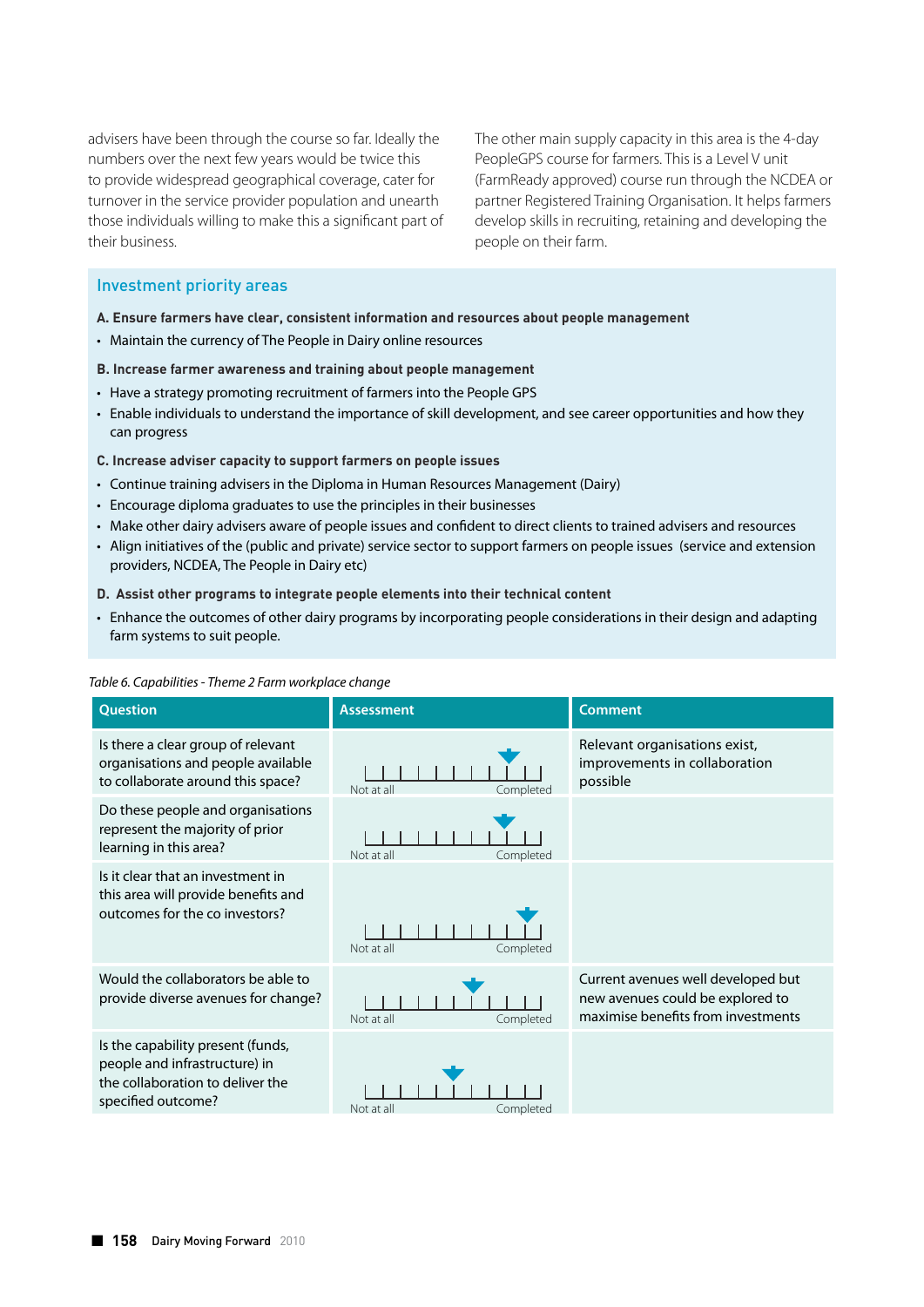advisers have been through the course so far. Ideally the numbers over the next few years would be twice this to provide widespread geographical coverage, cater for turnover in the service provider population and unearth those individuals willing to make this a significant part of their business.

The other main supply capacity in this area is the 4-day PeopleGPS course for farmers. This is a Level V unit (FarmReady approved) course run through the NCDEA or partner Registered Training Organisation. It helps farmers develop skills in recruiting, retaining and developing the people on their farm.

# Investment priority areas

- **A. Ensure farmers have clear, consistent information and resources about people management**
- Maintain the currency of The People in Dairy online resources

#### **B. Increase farmer awareness and training about people management**

- Have a strategy promoting recruitment of farmers into the People GPS
- Enable individuals to understand the importance of skill development, and see career opportunities and how they can progress
- **C. Increase adviser capacity to support farmers on people issues**
- Continue training advisers in the Diploma in Human Resources Management (Dairy)
- Encourage diploma graduates to use the principles in their businesses
- Make other dairy advisers aware of people issues and confident to direct clients to trained advisers and resources
- Align initiatives of the (public and private) service sector to support farmers on people issues (service and extension providers, NCDEA, The People in Dairy etc)
- **D. Assist other programs to integrate people elements into their technical content**
- Enhance the outcomes of other dairy programs by incorporating people considerations in their design and adapting farm systems to suit people.

#### *Table 6. Capabilities - Theme 2 Farm workplace change*

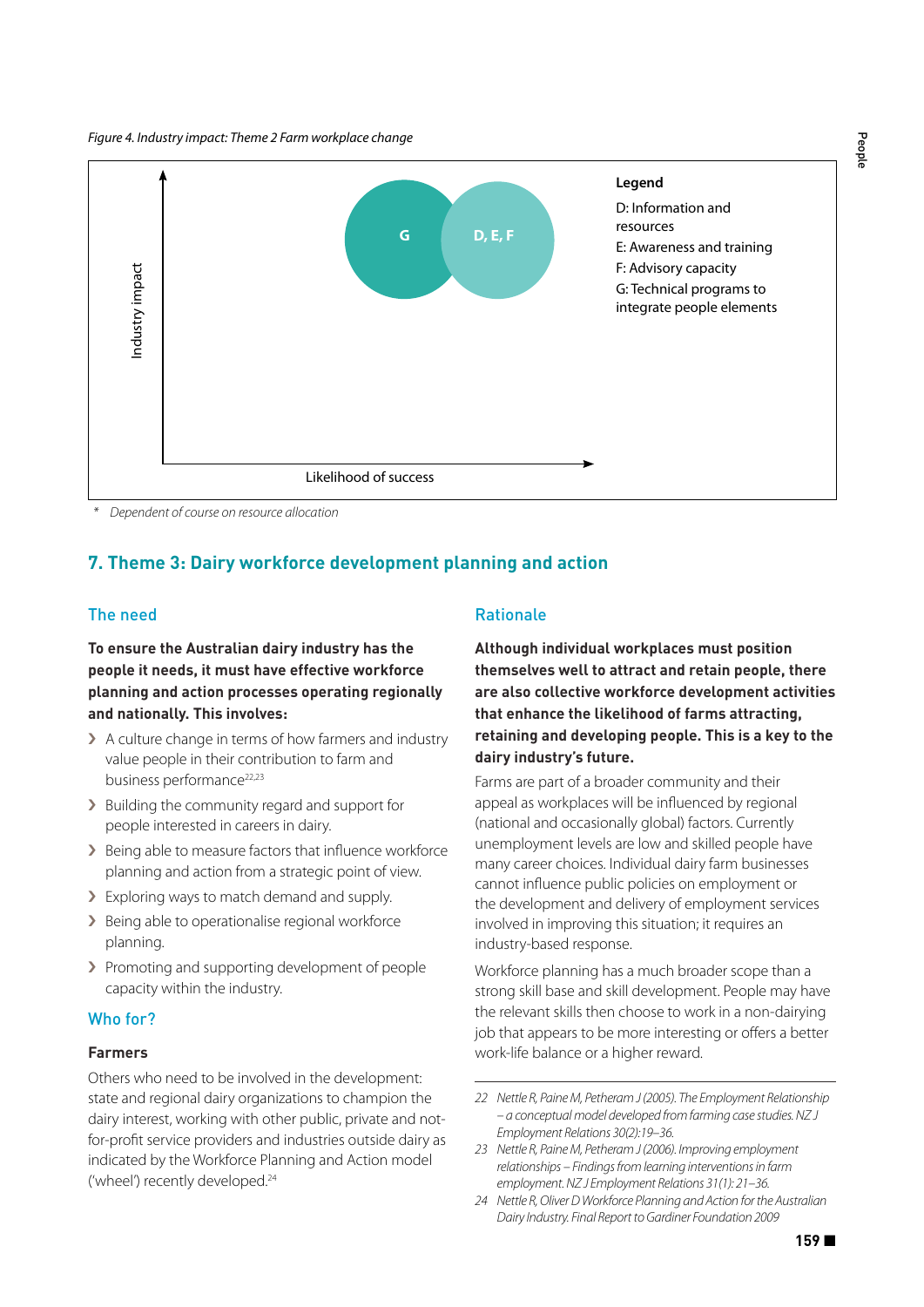

 *\* Dependent of course on resource allocation*

# **7. Theme 3: Dairy workforce development planning and action**

# The need

**To ensure the Australian dairy industry has the people it needs, it must have effective workforce planning and action processes operating regionally and nationally. This involves:**

- › A culture change in terms of how farmers and industry value people in their contribution to farm and business performance<sup>22,23</sup>
- › Building the community regard and support for people interested in careers in dairy.
- > Being able to measure factors that influence workforce planning and action from a strategic point of view.
- > Exploring ways to match demand and supply.
- > Being able to operationalise regional workforce planning.
- › Promoting and supporting development of people capacity within the industry.

#### Who for?

#### **Farmers**

Others who need to be involved in the development: state and regional dairy organizations to champion the dairy interest, working with other public, private and notfor-profit service providers and industries outside dairy as indicated by the Workforce Planning and Action model ('wheel') recently developed.<sup>24</sup>

#### Rationale

**Although individual workplaces must position themselves well to attract and retain people, there are also collective workforce development activities that enhance the likelihood of farms attracting, retaining and developing people. This is a key to the dairy industry's future.** 

Farms are part of a broader community and their appeal as workplaces will be influenced by regional (national and occasionally global) factors. Currently unemployment levels are low and skilled people have many career choices. Individual dairy farm businesses cannot influence public policies on employment or the development and delivery of employment services involved in improving this situation; it requires an industry-based response.

Workforce planning has a much broader scope than a strong skill base and skill development. People may have the relevant skills then choose to work in a non-dairying job that appears to be more interesting or offers a better work-life balance or a higher reward.

People

*<sup>22</sup> Nettle R, Paine M, Petheram J (2005). The Employment Relationship – a conceptual model developed from farming case studies. NZ J Employment Relations 30(2):19–36.*

*<sup>23</sup> Nettle R, Paine M, Petheram J (2006). Improving employment relationships – Findings from learning interventions in farm employment. NZ J Employment Relations 31(1): 21–36.*

*<sup>24</sup> Nettle R, Oliver D Workforce Planning and Action for the Australian Dairy Industry. Final Report to Gardiner Foundation 2009*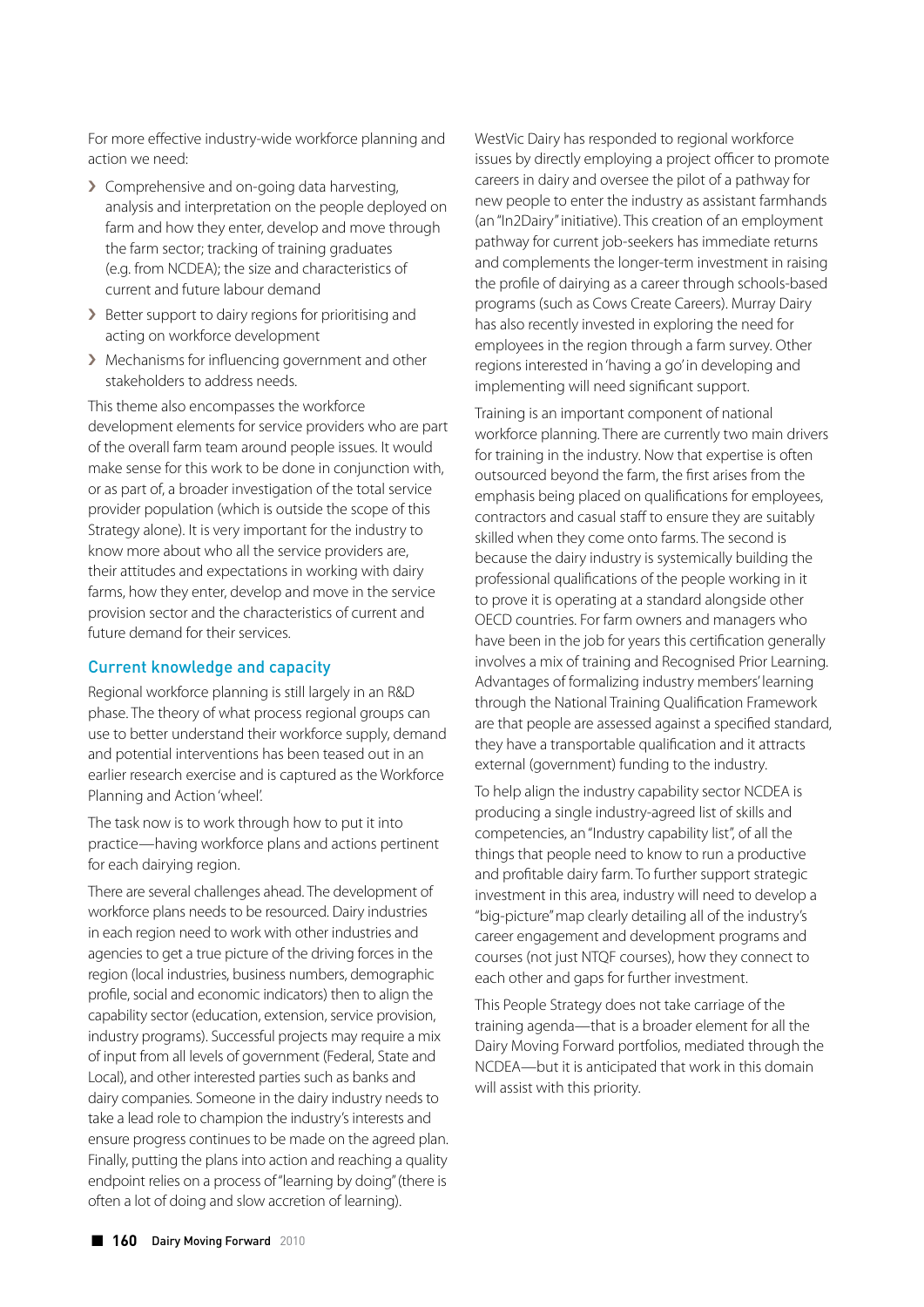For more effective industry-wide workforce planning and action we need:

- › Comprehensive and on-going data harvesting, analysis and interpretation on the people deployed on farm and how they enter, develop and move through the farm sector; tracking of training graduates (e.g. from NCDEA); the size and characteristics of current and future labour demand
- › Better support to dairy regions for prioritising and acting on workforce development
- › Mechanisms for influencing government and other stakeholders to address needs.

This theme also encompasses the workforce development elements for service providers who are part of the overall farm team around people issues. It would make sense for this work to be done in conjunction with, or as part of, a broader investigation of the total service provider population (which is outside the scope of this Strategy alone). It is very important for the industry to know more about who all the service providers are, their attitudes and expectations in working with dairy farms, how they enter, develop and move in the service provision sector and the characteristics of current and future demand for their services.

#### Current knowledge and capacity

Regional workforce planning is still largely in an R&D phase. The theory of what process regional groups can use to better understand their workforce supply, demand and potential interventions has been teased out in an earlier research exercise and is captured as the Workforce Planning and Action 'wheel'.

The task now is to work through how to put it into practice—having workforce plans and actions pertinent for each dairying region.

There are several challenges ahead. The development of workforce plans needs to be resourced. Dairy industries in each region need to work with other industries and agencies to get a true picture of the driving forces in the region (local industries, business numbers, demographic profile, social and economic indicators) then to align the capability sector (education, extension, service provision, industry programs). Successful projects may require a mix of input from all levels of government (Federal, State and Local), and other interested parties such as banks and dairy companies. Someone in the dairy industry needs to take a lead role to champion the industry's interests and ensure progress continues to be made on the agreed plan. Finally, putting the plans into action and reaching a quality endpoint relies on a process of "learning by doing" (there is often a lot of doing and slow accretion of learning).

WestVic Dairy has responded to regional workforce issues by directly employing a project officer to promote careers in dairy and oversee the pilot of a pathway for new people to enter the industry as assistant farmhands (an "In2Dairy" initiative). This creation of an employment pathway for current job-seekers has immediate returns and complements the longer-term investment in raising the profile of dairying as a career through schools-based programs (such as Cows Create Careers). Murray Dairy has also recently invested in exploring the need for employees in the region through a farm survey. Other regions interested in 'having a go' in developing and implementing will need significant support.

Training is an important component of national workforce planning. There are currently two main drivers for training in the industry. Now that expertise is often outsourced beyond the farm, the first arises from the emphasis being placed on qualifications for employees, contractors and casual staff to ensure they are suitably skilled when they come onto farms. The second is because the dairy industry is systemically building the professional qualifications of the people working in it to prove it is operating at a standard alongside other OECD countries. For farm owners and managers who have been in the job for years this certification generally involves a mix of training and Recognised Prior Learning. Advantages of formalizing industry members' learning through the National Training Qualification Framework are that people are assessed against a specified standard, they have a transportable qualification and it attracts external (government) funding to the industry.

To help align the industry capability sector NCDEA is producing a single industry-agreed list of skills and competencies, an "Industry capability list", of all the things that people need to know to run a productive and profitable dairy farm. To further support strategic investment in this area, industry will need to develop a "big-picture" map clearly detailing all of the industry's career engagement and development programs and courses (not just NTQF courses), how they connect to each other and gaps for further investment.

This People Strategy does not take carriage of the training agenda—that is a broader element for all the Dairy Moving Forward portfolios, mediated through the NCDEA—but it is anticipated that work in this domain will assist with this priority.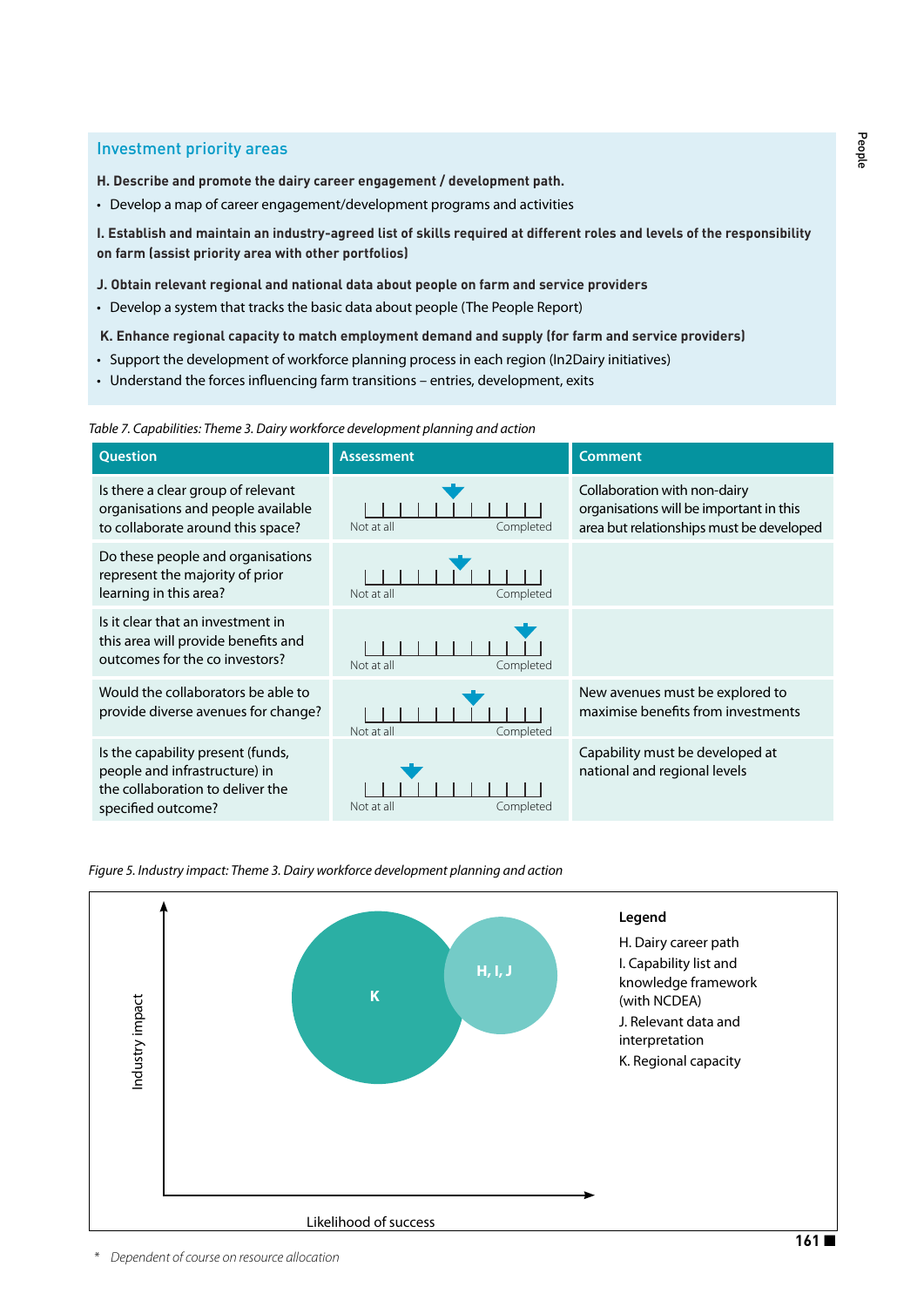### Investment priority areas

- **H. Describe and promote the dairy career engagement / development path.**
- Develop a map of career engagement/development programs and activities

**I. Establish and maintain an industry-agreed list of skills required at different roles and levels of the responsibility on farm (assist priority area with other portfolios)**

**J. Obtain relevant regional and national data about people on farm and service providers** 

- Develop a system that tracks the basic data about people (The People Report)
- **K. Enhance regional capacity to match employment demand and supply (for farm and service providers)**
- Support the development of workforce planning process in each region (In2Dairy initiatives)
- Understand the forces influencing farm transitions entries, development, exits

*Table 7. Capabilities: Theme 3. Dairy workforce development planning and action*



*Figure 5. Industry impact: Theme 3. Dairy workforce development planning and action*

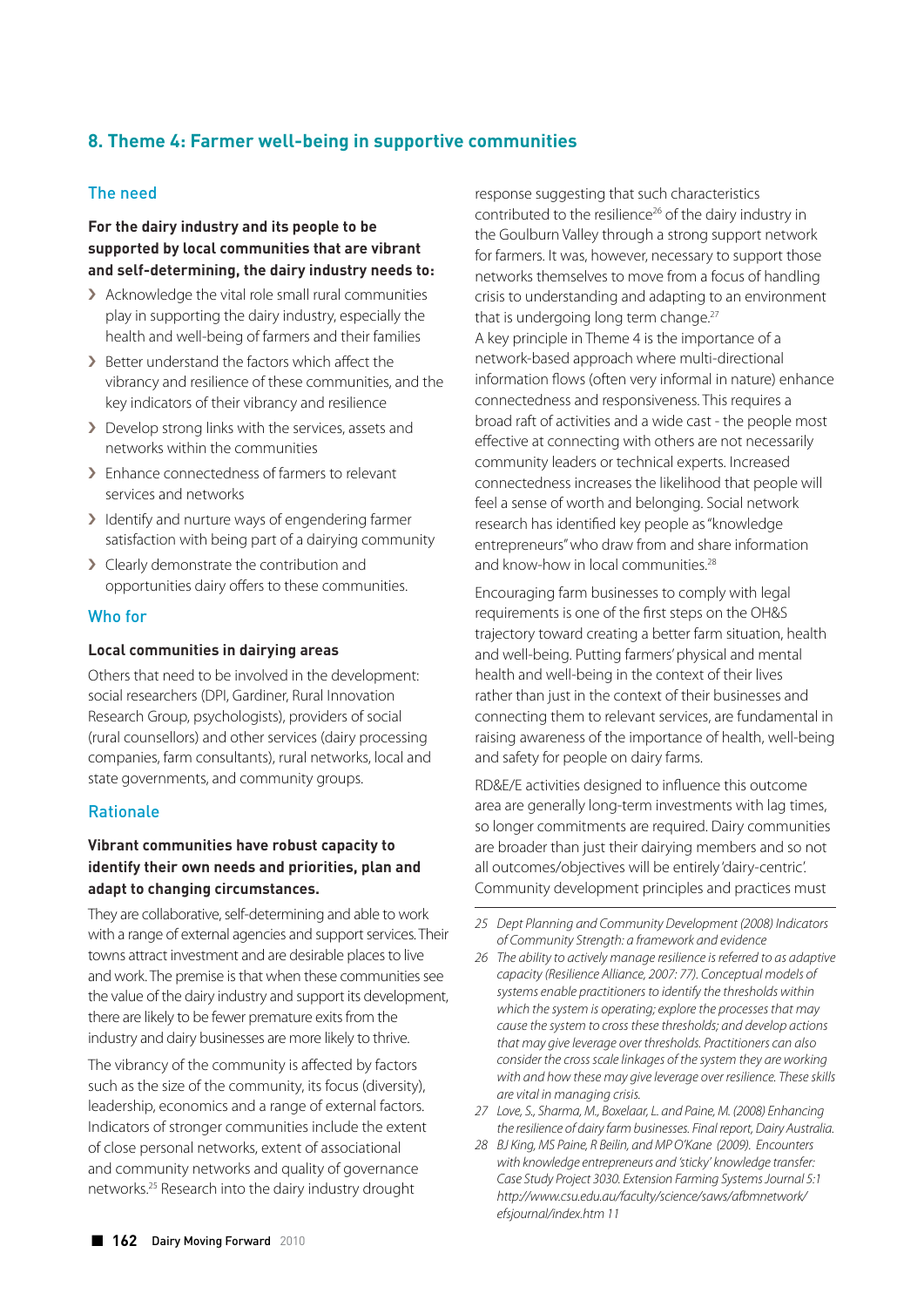# **8. Theme 4: Farmer well-being in supportive communities**

# The need

# **For the dairy industry and its people to be supported by local communities that are vibrant and self-determining, the dairy industry needs to:**

- › Acknowledge the vital role small rural communities play in supporting the dairy industry, especially the health and well-being of farmers and their families
- › Better understand the factors which affect the vibrancy and resilience of these communities, and the key indicators of their vibrancy and resilience
- › Develop strong links with the services, assets and networks within the communities
- › Enhance connectedness of farmers to relevant services and networks
- › Identify and nurture ways of engendering farmer satisfaction with being part of a dairying community
- > Clearly demonstrate the contribution and opportunities dairy offers to these communities.

#### Who for

#### **Local communities in dairying areas**

Others that need to be involved in the development: social researchers (DPI, Gardiner, Rural Innovation Research Group, psychologists), providers of social (rural counsellors) and other services (dairy processing companies, farm consultants), rural networks, local and state governments, and community groups.

# Rationale

# **Vibrant communities have robust capacity to identify their own needs and priorities, plan and adapt to changing circumstances.**

They are collaborative, self-determining and able to work with a range of external agencies and support services. Their towns attract investment and are desirable places to live and work. The premise is that when these communities see the value of the dairy industry and support its development, there are likely to be fewer premature exits from the industry and dairy businesses are more likely to thrive.

The vibrancy of the community is affected by factors such as the size of the community, its focus (diversity), leadership, economics and a range of external factors. Indicators of stronger communities include the extent of close personal networks, extent of associational and community networks and quality of governance networks.25 Research into the dairy industry drought

response suggesting that such characteristics contributed to the resilience<sup>26</sup> of the dairy industry in the Goulburn Valley through a strong support network for farmers. It was, however, necessary to support those networks themselves to move from a focus of handling crisis to understanding and adapting to an environment that is undergoing long term change.<sup>27</sup> A key principle in Theme 4 is the importance of a network-based approach where multi-directional information flows (often very informal in nature) enhance connectedness and responsiveness. This requires a broad raft of activities and a wide cast - the people most effective at connecting with others are not necessarily community leaders or technical experts. Increased connectedness increases the likelihood that people will feel a sense of worth and belonging. Social network research has identified key people as "knowledge entrepreneurs" who draw from and share information and know-how in local communities.<sup>28</sup>

Encouraging farm businesses to comply with legal requirements is one of the first steps on the OH&S trajectory toward creating a better farm situation, health and well-being. Putting farmers' physical and mental health and well-being in the context of their lives rather than just in the context of their businesses and connecting them to relevant services, are fundamental in raising awareness of the importance of health, well-being and safety for people on dairy farms.

RD&E/E activities designed to influence this outcome area are generally long-term investments with lag times, so longer commitments are required. Dairy communities are broader than just their dairying members and so not all outcomes/objectives will be entirely 'dairy-centric'. Community development principles and practices must

- *26 The ability to actively manage resilience is referred to as adaptive capacity (Resilience Alliance, 2007: 77). Conceptual models of systems enable practitioners to identify the thresholds within which the system is operating; explore the processes that may cause the system to cross these thresholds; and develop actions that may give leverage over thresholds. Practitioners can also consider the cross scale linkages of the system they are working with and how these may give leverage over resilience. These skills are vital in managing crisis.*
- *27 Love, S., Sharma, M., Boxelaar, L. and Paine, M. (2008) Enhancing the resilience of dairy farm businesses. Final report, Dairy Australia.*
- *28 BJ King, MS Paine, R Beilin, and MP O'Kane (2009). Encounters with knowledge entrepreneurs and 'sticky' knowledge transfer: Case Study Project 3030. Extension Farming Systems Journal 5:1 http://www.csu.edu.au/faculty/science/saws/afbmnetwork/ efsjournal/index.htm 11*

*<sup>25</sup> Dept Planning and Community Development (2008) Indicators of Community Strength: a framework and evidence*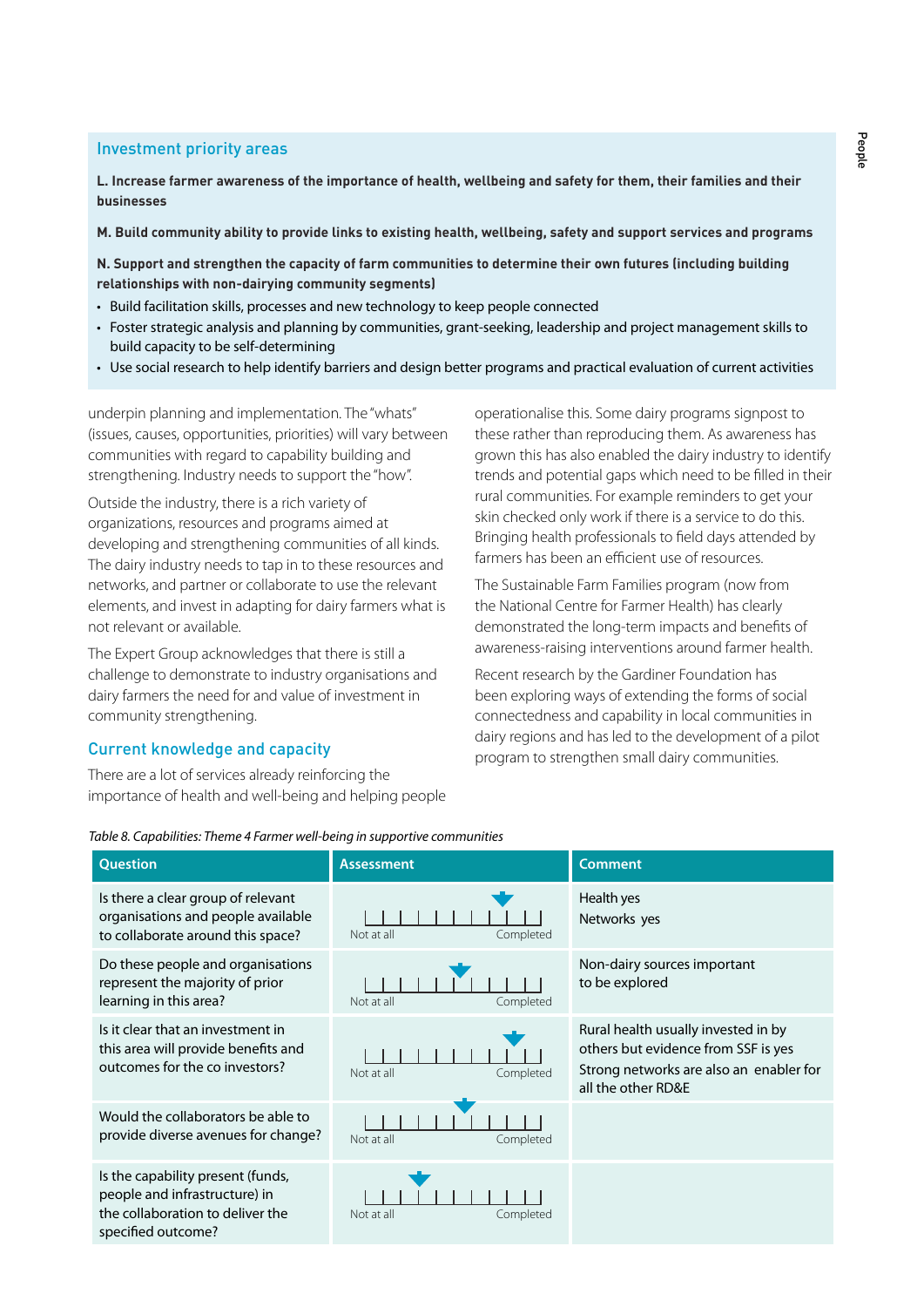# Investment priority areas

**L. Increase farmer awareness of the importance of health, wellbeing and safety for them, their families and their businesses**

**M. Build community ability to provide links to existing health, wellbeing, safety and support services and programs**

**N. Support and strengthen the capacity of farm communities to determine their own futures (including building relationships with non-dairying community segments)** 

- Build facilitation skills, processes and new technology to keep people connected
- Foster strategic analysis and planning by communities, grant-seeking, leadership and project management skills to build capacity to be self-determining
- Use social research to help identify barriers and design better programs and practical evaluation of current activities

underpin planning and implementation. The "whats" (issues, causes, opportunities, priorities) will vary between communities with regard to capability building and strengthening. Industry needs to support the "how".

Outside the industry, there is a rich variety of organizations, resources and programs aimed at developing and strengthening communities of all kinds. The dairy industry needs to tap in to these resources and networks, and partner or collaborate to use the relevant elements, and invest in adapting for dairy farmers what is not relevant or available.

The Expert Group acknowledges that there is still a challenge to demonstrate to industry organisations and dairy farmers the need for and value of investment in community strengthening.

# Current knowledge and capacity

There are a lot of services already reinforcing the importance of health and well-being and helping people operationalise this. Some dairy programs signpost to these rather than reproducing them. As awareness has grown this has also enabled the dairy industry to identify trends and potential gaps which need to be filled in their rural communities. For example reminders to get your skin checked only work if there is a service to do this. Bringing health professionals to field days attended by farmers has been an efficient use of resources.

The Sustainable Farm Families program (now from the National Centre for Farmer Health) has clearly demonstrated the long-term impacts and benefits of awareness-raising interventions around farmer health.

Recent research by the Gardiner Foundation has been exploring ways of extending the forms of social connectedness and capability in local communities in dairy regions and has led to the development of a pilot program to strengthen small dairy communities.

| <b>Question</b>                                                                                                              | <b>Assessment</b>       | <b>Comment</b>                                                                                                                              |
|------------------------------------------------------------------------------------------------------------------------------|-------------------------|---------------------------------------------------------------------------------------------------------------------------------------------|
| Is there a clear group of relevant<br>organisations and people available<br>to collaborate around this space?                | Completed<br>Not at all | Health yes<br>Networks yes                                                                                                                  |
| Do these people and organisations<br>represent the majority of prior<br>learning in this area?                               | Not at all<br>Completed | Non-dairy sources important<br>to be explored                                                                                               |
| Is it clear that an investment in<br>this area will provide benefits and<br>outcomes for the co investors?                   | Not at all<br>Completed | Rural health usually invested in by<br>others but evidence from SSF is yes<br>Strong networks are also an enabler for<br>all the other RD&E |
| Would the collaborators be able to<br>provide diverse avenues for change?                                                    | Not at all<br>Completed |                                                                                                                                             |
| Is the capability present (funds,<br>people and infrastructure) in<br>the collaboration to deliver the<br>specified outcome? | Not at all<br>Completed |                                                                                                                                             |

*Table 8. Capabilities: Theme 4 Farmer well-being in supportive communities*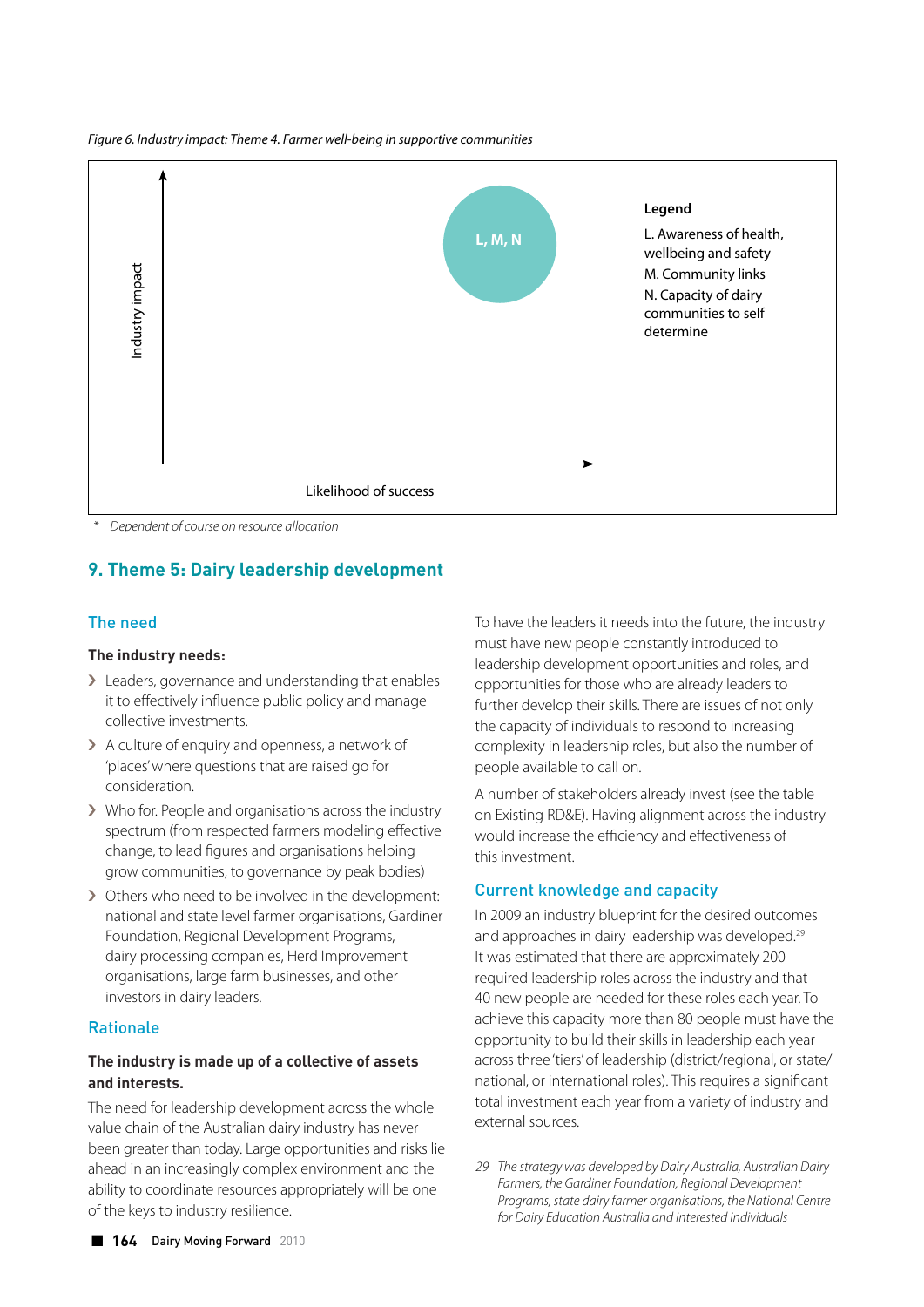*Figure 6. Industry impact: Theme 4. Farmer well-being in supportive communities*



 *\* Dependent of course on resource allocation*

# **9. Theme 5: Dairy leadership development**

# The need

# **The industry needs:**

- > Leaders, governance and understanding that enables it to effectively influence public policy and manage collective investments.
- › A culture of enquiry and openness, a network of 'places' where questions that are raised go for consideration.
- › Who for. People and organisations across the industry spectrum (from respected farmers modeling effective change, to lead figures and organisations helping grow communities, to governance by peak bodies)
- › Others who need to be involved in the development: national and state level farmer organisations, Gardiner Foundation, Regional Development Programs, dairy processing companies, Herd Improvement organisations, large farm businesses, and other investors in dairy leaders.

# Rationale

# **The industry is made up of a collective of assets and interests.**

The need for leadership development across the whole value chain of the Australian dairy industry has never been greater than today. Large opportunities and risks lie ahead in an increasingly complex environment and the ability to coordinate resources appropriately will be one of the keys to industry resilience.

To have the leaders it needs into the future, the industry must have new people constantly introduced to leadership development opportunities and roles, and opportunities for those who are already leaders to further develop their skills. There are issues of not only the capacity of individuals to respond to increasing complexity in leadership roles, but also the number of people available to call on.

A number of stakeholders already invest (see the table on Existing RD&E). Having alignment across the industry would increase the efficiency and effectiveness of this investment.

# Current knowledge and capacity

In 2009 an industry blueprint for the desired outcomes and approaches in dairy leadership was developed.<sup>29</sup> It was estimated that there are approximately 200 required leadership roles across the industry and that 40 new people are needed for these roles each year. To achieve this capacity more than 80 people must have the opportunity to build their skills in leadership each year across three 'tiers' of leadership (district/regional, or state/ national, or international roles). This requires a significant total investment each year from a variety of industry and external sources.

*<sup>29</sup> The strategy was developed by Dairy Australia, Australian Dairy Farmers, the Gardiner Foundation, Regional Development Programs, state dairy farmer organisations, the National Centre for Dairy Education Australia and interested individuals*